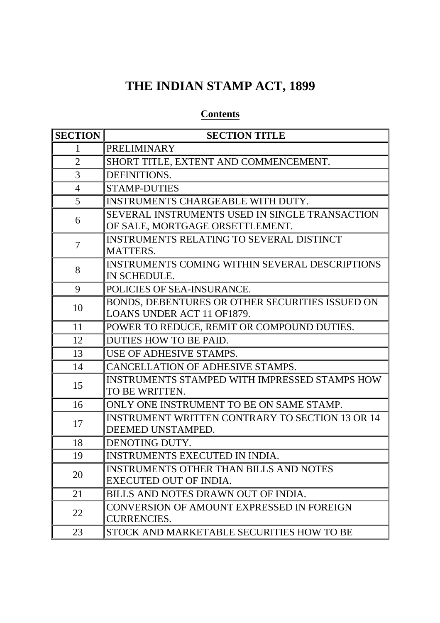# **THE INDIAN STAMP ACT, 1899**

# **Contents**

| <b>SECTION</b> | <b>SECTION TITLE</b>                                                              |
|----------------|-----------------------------------------------------------------------------------|
| 1              | <b>PRELIMINARY</b>                                                                |
| $\overline{2}$ | SHORT TITLE, EXTENT AND COMMENCEMENT.                                             |
| 3              | DEFINITIONS.                                                                      |
| $\overline{4}$ | <b>STAMP-DUTIES</b>                                                               |
| 5              | INSTRUMENTS CHARGEABLE WITH DUTY.                                                 |
| 6              | SEVERAL INSTRUMENTS USED IN SINGLE TRANSACTION<br>OF SALE, MORTGAGE ORSETTLEMENT. |
| 7              | <b>INSTRUMENTS RELATING TO SEVERAL DISTINCT</b><br><b>MATTERS.</b>                |
| 8              | INSTRUMENTS COMING WITHIN SEVERAL DESCRIPTIONS<br>IN SCHEDULE.                    |
| 9              | POLICIES OF SEA-INSURANCE.                                                        |
| 10             | BONDS, DEBENTURES OR OTHER SECURITIES ISSUED ON<br>LOANS UNDER ACT 11 OF1879.     |
| 11             | POWER TO REDUCE, REMIT OR COMPOUND DUTIES.                                        |
| 12             | DUTIES HOW TO BE PAID.                                                            |
| 13             | USE OF ADHESIVE STAMPS.                                                           |
| 14             | CANCELLATION OF ADHESIVE STAMPS.                                                  |
| 15             | INSTRUMENTS STAMPED WITH IMPRESSED STAMPS HOW<br>TO BE WRITTEN.                   |
| 16             | ONLY ONE INSTRUMENT TO BE ON SAME STAMP.                                          |
| 17             | <b>INSTRUMENT WRITTEN CONTRARY TO SECTION 13 OR 14</b><br>DEEMED UNSTAMPED.       |
| 18             | DENOTING DUTY.                                                                    |
| 19             | INSTRUMENTS EXECUTED IN INDIA.                                                    |
| 20             | <b>INSTRUMENTS OTHER THAN BILLS AND NOTES</b><br>EXECUTED OUT OF INDIA.           |
| 21             | BILLS AND NOTES DRAWN OUT OF INDIA.                                               |
| 22             | CONVERSION OF AMOUNT EXPRESSED IN FOREIGN<br><b>CURRENCIES.</b>                   |
| 23             | STOCK AND MARKETABLE SECURITIES HOW TO BE                                         |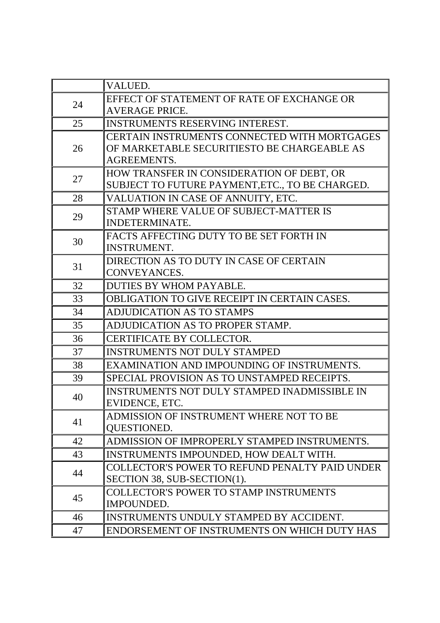|    | VALUED.                                                                                                           |
|----|-------------------------------------------------------------------------------------------------------------------|
| 24 | EFFECT OF STATEMENT OF RATE OF EXCHANGE OR                                                                        |
|    | <b>AVERAGE PRICE.</b>                                                                                             |
| 25 | <b>INSTRUMENTS RESERVING INTEREST.</b>                                                                            |
| 26 | CERTAIN INSTRUMENTS CONNECTED WITH MORTGAGES<br>OF MARKETABLE SECURITIESTO BE CHARGEABLE AS<br><b>AGREEMENTS.</b> |
| 27 | HOW TRANSFER IN CONSIDERATION OF DEBT, OR<br>SUBJECT TO FUTURE PAYMENT, ETC., TO BE CHARGED.                      |
| 28 | VALUATION IN CASE OF ANNUITY, ETC.                                                                                |
| 29 | STAMP WHERE VALUE OF SUBJECT-MATTER IS                                                                            |
|    | INDETERMINATE.                                                                                                    |
| 30 | FACTS AFFECTING DUTY TO BE SET FORTH IN                                                                           |
|    | <b>INSTRUMENT.</b>                                                                                                |
| 31 | DIRECTION AS TO DUTY IN CASE OF CERTAIN                                                                           |
|    | CONVEYANCES.                                                                                                      |
| 32 | DUTIES BY WHOM PAYABLE.                                                                                           |
| 33 | <b>OBLIGATION TO GIVE RECEIPT IN CERTAIN CASES.</b>                                                               |
| 34 | <b>ADJUDICATION AS TO STAMPS</b>                                                                                  |
| 35 | ADJUDICATION AS TO PROPER STAMP.                                                                                  |
| 36 | <b>CERTIFICATE BY COLLECTOR.</b>                                                                                  |
| 37 | <b>INSTRUMENTS NOT DULY STAMPED</b>                                                                               |
| 38 | EXAMINATION AND IMPOUNDING OF INSTRUMENTS.                                                                        |
| 39 | SPECIAL PROVISION AS TO UNSTAMPED RECEIPTS.                                                                       |
| 40 | INSTRUMENTS NOT DULY STAMPED INADMISSIBLE IN                                                                      |
|    | EVIDENCE, ETC.                                                                                                    |
| 41 | ADMISSION OF INSTRUMENT WHERE NOT TO BE                                                                           |
|    | QUESTIONED.                                                                                                       |
| 42 | ADMISSION OF IMPROPERLY STAMPED INSTRUMENTS.                                                                      |
| 43 | INSTRUMENTS IMPOUNDED, HOW DEALT WITH.                                                                            |
| 44 | COLLECTOR'S POWER TO REFUND PENALTY PAID UNDER<br>SECTION 38, SUB-SECTION(1).                                     |
| 45 | <b>COLLECTOR'S POWER TO STAMP INSTRUMENTS</b>                                                                     |
|    | <b>IMPOUNDED.</b>                                                                                                 |
| 46 | INSTRUMENTS UNDULY STAMPED BY ACCIDENT.                                                                           |
| 47 | ENDORSEMENT OF INSTRUMENTS ON WHICH DUTY HAS                                                                      |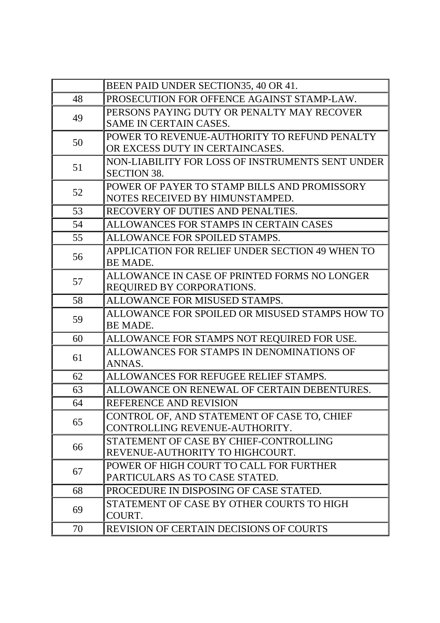|    | BEEN PAID UNDER SECTION35, 40 OR 41.                                            |
|----|---------------------------------------------------------------------------------|
| 48 | PROSECUTION FOR OFFENCE AGAINST STAMP-LAW.                                      |
| 49 | PERSONS PAYING DUTY OR PENALTY MAY RECOVER                                      |
|    | <b>SAME IN CERTAIN CASES.</b>                                                   |
| 50 | POWER TO REVENUE-AUTHORITY TO REFUND PENALTY                                    |
|    | OR EXCESS DUTY IN CERTAINCASES.                                                 |
| 51 | NON-LIABILITY FOR LOSS OF INSTRUMENTS SENT UNDER                                |
|    | <b>SECTION 38.</b>                                                              |
| 52 | POWER OF PAYER TO STAMP BILLS AND PROMISSORY<br>NOTES RECEIVED BY HIMUNSTAMPED. |
| 53 | RECOVERY OF DUTIES AND PENALTIES.                                               |
|    |                                                                                 |
| 54 | ALLOWANCES FOR STAMPS IN CERTAIN CASES                                          |
| 55 | ALLOWANCE FOR SPOILED STAMPS.                                                   |
| 56 | APPLICATION FOR RELIEF UNDER SECTION 49 WHEN TO<br>BE MADE.                     |
|    | ALLOWANCE IN CASE OF PRINTED FORMS NO LONGER                                    |
| 57 | REQUIRED BY CORPORATIONS.                                                       |
| 58 | ALLOWANCE FOR MISUSED STAMPS.                                                   |
|    | ALLOWANCE FOR SPOILED OR MISUSED STAMPS HOW TO                                  |
| 59 | BE MADE.                                                                        |
| 60 | ALLOWANCE FOR STAMPS NOT REQUIRED FOR USE.                                      |
| 61 | ALLOWANCES FOR STAMPS IN DENOMINATIONS OF                                       |
|    | ANNAS.                                                                          |
| 62 | ALLOWANCES FOR REFUGEE RELIEF STAMPS.                                           |
| 63 | ALLOWANCE ON RENEWAL OF CERTAIN DEBENTURES.                                     |
| 64 | REFERENCE AND REVISION                                                          |
| 65 | CONTROL OF, AND STATEMENT OF CASE TO, CHIEF                                     |
|    | CONTROLLING REVENUE-AUTHORITY.                                                  |
| 66 | STATEMENT OF CASE BY CHIEF-CONTROLLING                                          |
|    | REVENUE-AUTHORITY TO HIGHCOURT.                                                 |
| 67 | POWER OF HIGH COURT TO CALL FOR FURTHER                                         |
|    | PARTICULARS AS TO CASE STATED.                                                  |
| 68 | PROCEDURE IN DISPOSING OF CASE STATED.                                          |
| 69 | STATEMENT OF CASE BY OTHER COURTS TO HIGH                                       |
|    | COURT.                                                                          |
| 70 | <b>REVISION OF CERTAIN DECISIONS OF COURTS</b>                                  |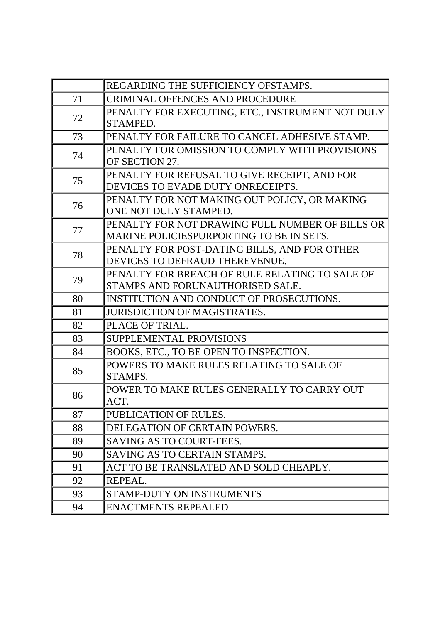|    | REGARDING THE SUFFICIENCY OFSTAMPS.                                                |
|----|------------------------------------------------------------------------------------|
| 71 | <b>CRIMINAL OFFENCES AND PROCEDURE</b>                                             |
| 72 | PENALTY FOR EXECUTING, ETC., INSTRUMENT NOT DULY                                   |
|    | STAMPED.                                                                           |
| 73 | PENALTY FOR FAILURE TO CANCEL ADHESIVE STAMP.                                      |
| 74 | PENALTY FOR OMISSION TO COMPLY WITH PROVISIONS                                     |
|    | OF SECTION 27.                                                                     |
| 75 | PENALTY FOR REFUSAL TO GIVE RECEIPT, AND FOR                                       |
|    | DEVICES TO EVADE DUTY ONRECEIPTS.                                                  |
| 76 | PENALTY FOR NOT MAKING OUT POLICY, OR MAKING                                       |
|    | ONE NOT DULY STAMPED.                                                              |
| 77 | PENALTY FOR NOT DRAWING FULL NUMBER OF BILLS OR                                    |
|    | MARINE POLICIESPURPORTING TO BE IN SETS.                                           |
| 78 | PENALTY FOR POST-DATING BILLS, AND FOR OTHER<br>DEVICES TO DEFRAUD THEREVENUE.     |
|    |                                                                                    |
| 79 | PENALTY FOR BREACH OF RULE RELATING TO SALE OF<br>STAMPS AND FORUNAUTHORISED SALE. |
| 80 | INSTITUTION AND CONDUCT OF PROSECUTIONS.                                           |
|    |                                                                                    |
| 81 | <b>JURISDICTION OF MAGISTRATES.</b>                                                |
| 82 | PLACE OF TRIAL.                                                                    |
| 83 | SUPPLEMENTAL PROVISIONS                                                            |
| 84 | BOOKS, ETC., TO BE OPEN TO INSPECTION.                                             |
| 85 | POWERS TO MAKE RULES RELATING TO SALE OF                                           |
|    | STAMPS.                                                                            |
| 86 | POWER TO MAKE RULES GENERALLY TO CARRY OUT                                         |
|    | ACT.                                                                               |
| 87 | PUBLICATION OF RULES.                                                              |
| 88 | DELEGATION OF CERTAIN POWERS.                                                      |
| 89 | <b>SAVING AS TO COURT-FEES.</b>                                                    |
| 90 | SAVING AS TO CERTAIN STAMPS.                                                       |
| 91 | ACT TO BE TRANSLATED AND SOLD CHEAPLY.                                             |
| 92 | REPEAL.                                                                            |
| 93 | <b>STAMP-DUTY ON INSTRUMENTS</b>                                                   |
| 94 | <b>ENACTMENTS REPEALED</b>                                                         |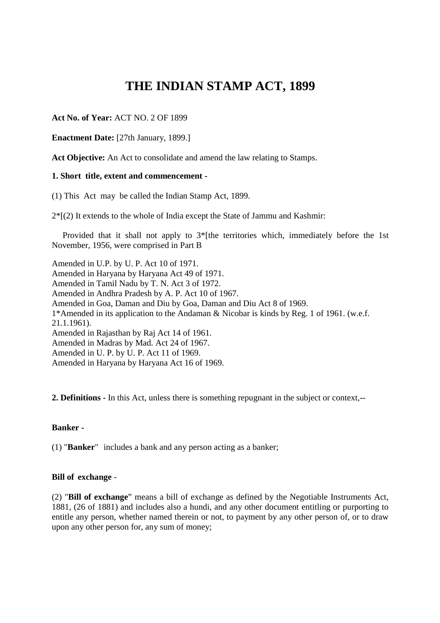# **THE INDIAN STAMP ACT, 1899**

**Act No. of Year:** ACT NO. 2 OF 1899

**Enactment Date:** [27th January, 1899.]

**Act Objective:** An Act to consolidate and amend the law relating to Stamps.

### **1. Short title, extent and commencement -**

(1) This Act may be called the Indian Stamp Act, 1899.

 $2*(2)$  It extends to the whole of India except the State of Jammu and Kashmir:

Provided that it shall not apply to  $3*$ [the territories which, immediately before the 1st November, 1956, were comprised in Part B

Amended in U.P. by U. P. Act 10 of 1971. Amended in Haryana by Haryana Act 49 of 1971. Amended in Tamil Nadu by T. N. Act 3 of 1972. Amended in Andhra Pradesh by A. P. Act 10 of 1967. Amended in Goa, Daman and Diu by Goa, Daman and Diu Act 8 of 1969. 1\*Amended in its application to the Andaman & Nicobar is kinds by Reg. 1 of 1961. (w.e.f. 21.1.1961). Amended in Rajasthan by Raj Act 14 of 1961. Amended in Madras by Mad. Act 24 of 1967. Amended in U. P. by U. P. Act 11 of 1969. Amended in Haryana by Haryana Act 16 of 1969.

**2. Definitions -** In this Act, unless there is something repugnant in the subject or context,--

### **Banker -**

(1) "**Banker**" includes a bank and any person acting as a banker;

### **Bill of exchange** -

(2) "**Bill of exchange**" means a bill of exchange as defined by the Negotiable Instruments Act, 1881, (26 of 1881) and includes also a hundi, and any other document entitling or purporting to entitle any person, whether named therein or not, to payment by any other person of, or to draw upon any other person for, any sum of money;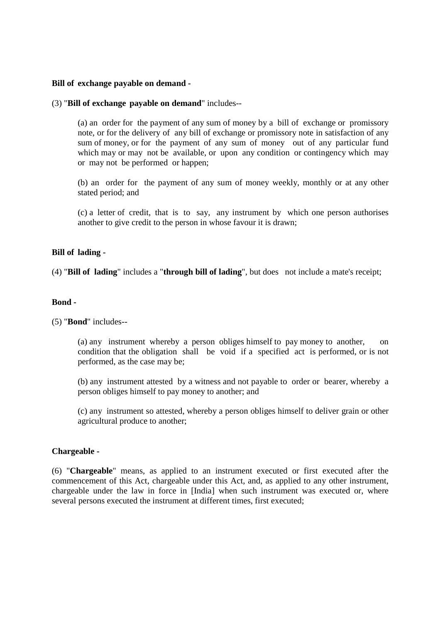### **Bill of exchange payable on demand -**

### (3) "**Bill of exchange payable on demand**" includes--

(a) an order for the payment of any sum of money by a bill of exchange or promissory note, or for the delivery of any bill of exchange or promissory note in satisfaction of any sum of money, or for the payment of any sum of money out of any particular fund which may or may not be available, or upon any condition or contingency which may or may not be performed or happen;

(b) an order for the payment of any sum of money weekly, monthly or at any other stated period; and

(c) a letter of credit, that is to say, any instrument by which one person authorises another to give credit to the person in whose favour it is drawn;

### **Bill of lading -**

(4) "**Bill of lading**" includes a "**through bill of lading**", but does not include a mate's receipt;

### **Bond -**

### (5) "**Bond**" includes--

(a) any instrument whereby a person obliges himself to pay money to another, on condition that the obligation shall be void if a specified act is performed, or is not performed, as the case may be;

 (b) any instrument attested by a witness and not payable to order or bearer, whereby a person obliges himself to pay money to another; and

(c) any instrument so attested, whereby a person obliges himself to deliver grain or other agricultural produce to another;

### **Chargeable -**

(6) "**Chargeable**" means, as applied to an instrument executed or first executed after the commencement of this Act, chargeable under this Act, and, as applied to any other instrument, chargeable under the law in force in [India] when such instrument was executed or, where several persons executed the instrument at different times, first executed;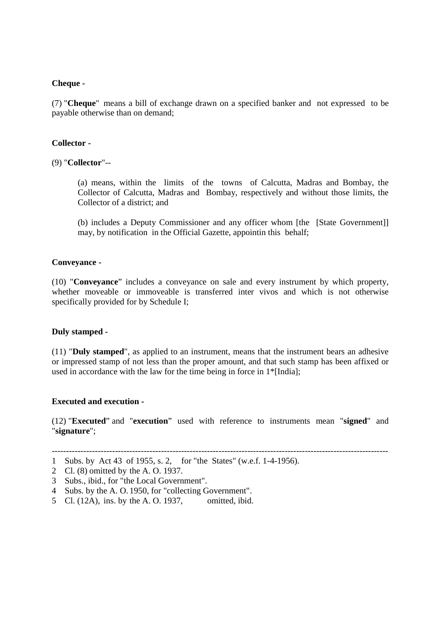### **Cheque -**

(7) "**Cheque**" means a bill of exchange drawn on a specified banker and not expressed to be payable otherwise than on demand;

### **Collector -**

(9) "**Collector**"--

(a) means, within the limits of the towns of Calcutta, Madras and Bombay, the Collector of Calcutta, Madras and Bombay, respectively and without those limits, the Collector of a district; and

(b) includes a Deputy Commissioner and any officer whom [the [State Government]] may, by notification in the Official Gazette, appointin this behalf;

### **Conveyance -**

(10) "**Conveyance**" includes a conveyance on sale and every instrument by which property, whether moveable or immoveable is transferred inter vivos and which is not otherwise specifically provided for by Schedule I;

### **Duly stamped -**

(11) "**Duly stamped**", as applied to an instrument, means that the instrument bears an adhesive or impressed stamp of not less than the proper amount, and that such stamp has been affixed or used in accordance with the law for the time being in force in 1\*[India];

### **Executed and execution -**

(12) "**Executed**" and "**execution**" used with reference to instruments mean "**signed**" and "**signature**";

- 2 Cl. (8) omitted by the A. O. 1937.
- 3 Subs., ibid., for "the Local Government".
- 4 Subs. by the A. O. 1950, for "collecting Government".
- 5 Cl. (12A), ins. by the A. O. 1937, omitted, ibid.

<sup>---------------------------------------------------------------------------------------------------------------------</sup> 

<sup>1</sup> Subs. by Act 43 of 1955, s. 2, for "the States" (w.e.f. 1-4-1956).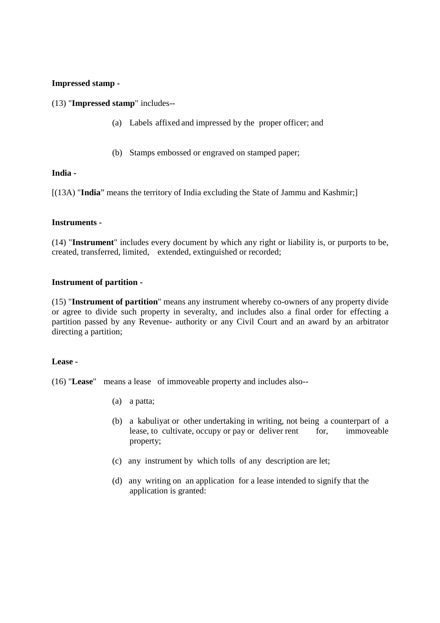# **Impressed stamp -**

(13) "**Impressed stamp**" includes--

- (a) Labels affixed and impressed by the proper officer; and
- (b) Stamps embossed or engraved on stamped paper;

### **India -**

[(13A) "**India**" means the territory of India excluding the State of Jammu and Kashmir;]

### **Instruments -**

(14) "**Instrument**" includes every document by which any right or liability is, or purports to be, created, transferred, limited, extended, extinguished or recorded;

### **Instrument of partition -**

(15) "**Instrument of partition**" means any instrument whereby co-owners of any property divide or agree to divide such property in severalty, and includes also a final order for effecting a partition passed by any Revenue- authority or any Civil Court and an award by an arbitrator directing a partition;

### **Lease -**

(16) "**Lease**" means a lease of immoveable property and includes also--

- (a) a patta;
- (b) a kabuliyat or other undertaking in writing, not being a counterpart of a lease, to cultivate, occupy or pay or deliver rent for, immoveable property;
- (c) any instrument by which tolls of any description are let;
- (d) any writing on an application for a lease intended to signify that the application is granted: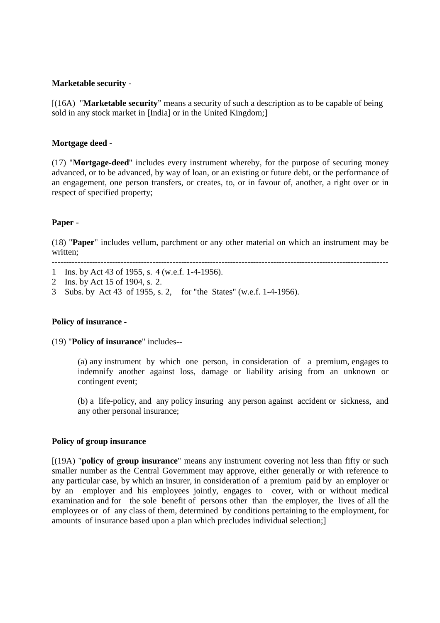### **Marketable security -**

[(16A) "**Marketable security**" means a security of such a description as to be capable of being sold in any stock market in [India] or in the United Kingdom;]

### **Mortgage deed -**

(17) "**Mortgage-deed**" includes every instrument whereby, for the purpose of securing money advanced, or to be advanced, by way of loan, or an existing or future debt, or the performance of an engagement, one person transfers, or creates, to, or in favour of, another, a right over or in respect of specified property;

### **Paper -**

(18) "**Paper**" includes vellum, parchment or any other material on which an instrument may be written;

---------------------------------------------------------------------------------------------------------------------

1 Ins. by Act 43 of 1955, s. 4 (w.e.f. 1-4-1956).

2 Ins. by Act 15 of 1904, s. 2.

3 Subs. by Act 43 of 1955, s. 2, for "the States" (w.e.f. 1-4-1956).

### **Policy of insurance -**

(19) "**Policy of insurance**" includes--

(a) any instrument by which one person, in consideration of a premium, engages to indemnify another against loss, damage or liability arising from an unknown or contingent event;

(b) a life-policy, and any policy insuring any person against accident or sickness, and any other personal insurance;

### **Policy of group insurance**

[(19A) "**policy of group insurance**" means any instrument covering not less than fifty or such smaller number as the Central Government may approve, either generally or with reference to any particular case, by which an insurer, in consideration of a premium paid by an employer or by an employer and his employees jointly, engages to cover, with or without medical examination and for the sole benefit of persons other than the employer, the lives of all the employees or of any class of them, determined by conditions pertaining to the employment, for amounts of insurance based upon a plan which precludes individual selection;]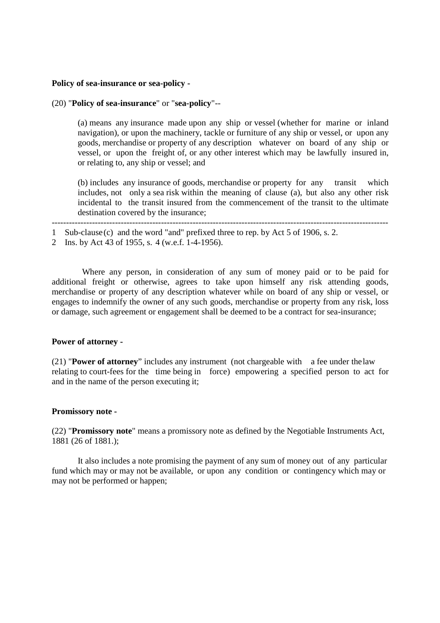### **Policy of sea-insurance or sea-policy -**

### (20) "**Policy of sea-insurance**" or "**sea-policy**"--

(a) means any insurance made upon any ship or vessel (whether for marine or inland navigation), or upon the machinery, tackle or furniture of any ship or vessel, or upon any goods, merchandise or property of any description whatever on board of any ship or vessel, or upon the freight of, or any other interest which may be lawfully insured in, or relating to, any ship or vessel; and

 (b) includes any insurance of goods, merchandise or property for any transit which includes, not only a sea risk within the meaning of clause (a), but also any other risk incidental to the transit insured from the commencement of the transit to the ultimate destination covered by the insurance;

---------------------------------------------------------------------------------------------------------------------

 Where any person, in consideration of any sum of money paid or to be paid for additional freight or otherwise, agrees to take upon himself any risk attending goods, merchandise or property of any description whatever while on board of any ship or vessel, or engages to indemnify the owner of any such goods, merchandise or property from any risk, loss or damage, such agreement or engagement shall be deemed to be a contract for sea-insurance;

### **Power of attorney -**

(21) "**Power of attorney**" includes any instrument (not chargeable with a fee under the law relating to court-fees for the time being in force) empowering a specified person to act for and in the name of the person executing it;

#### **Promissory note -**

(22) "**Promissory note**" means a promissory note as defined by the Negotiable Instruments Act, 1881 (26 of 1881.);

It also includes a note promising the payment of any sum of money out of any particular fund which may or may not be available, or upon any condition or contingency which may or may not be performed or happen;

<sup>1</sup> Sub-clause (c) and the word "and" prefixed three to rep. by Act 5 of 1906, s. 2.

<sup>2</sup> Ins. by Act 43 of 1955, s. 4 (w.e.f. 1-4-1956).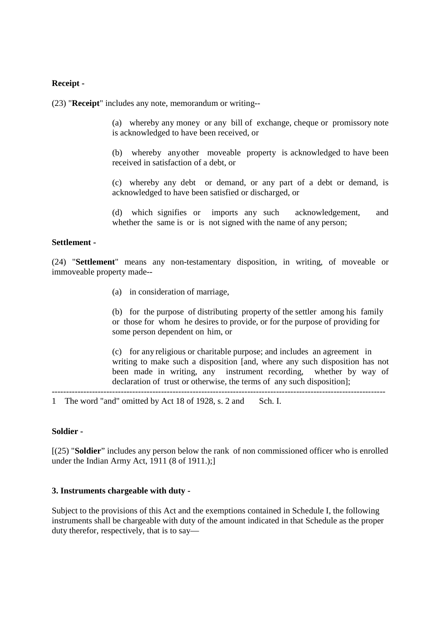### **Receipt -**

(23) "**Receipt**" includes any note, memorandum or writing--

(a) whereby any money or any bill of exchange, cheque or promissory note is acknowledged to have been received, or

(b) whereby any other moveable property is acknowledged to have been received in satisfaction of a debt, or

(c) whereby any debt or demand, or any part of a debt or demand, is acknowledged to have been satisfied or discharged, or

(d) which signifies or imports any such acknowledgement, and whether the same is or is not signed with the name of any person;

### **Settlement -**

(24) "**Settlement**" means any non-testamentary disposition, in writing, of moveable or immoveable property made--

(a) in consideration of marriage,

(b) for the purpose of distributing property of the settler among his family or those for whom he desires to provide, or for the purpose of providing for some person dependent on him, or

(c) for any religious or charitable purpose; and includes an agreement in writing to make such a disposition [and, where any such disposition has not been made in writing, any instrument recording, whether by way of declaration of trust or otherwise, the terms of any such disposition];

1 The word "and" omitted by Act 18 of 1928, s. 2 and Sch. I.

### **Soldier -**

[(25) "**Soldier**" includes any person below the rank of non commissioned officer who is enrolled under the Indian Army Act, 1911 (8 of 1911.);]

--------------------------------------------------------------------------------------------------------------------

### **3. Instruments chargeable with duty -**

Subject to the provisions of this Act and the exemptions contained in Schedule I, the following instruments shall be chargeable with duty of the amount indicated in that Schedule as the proper duty therefor, respectively, that is to say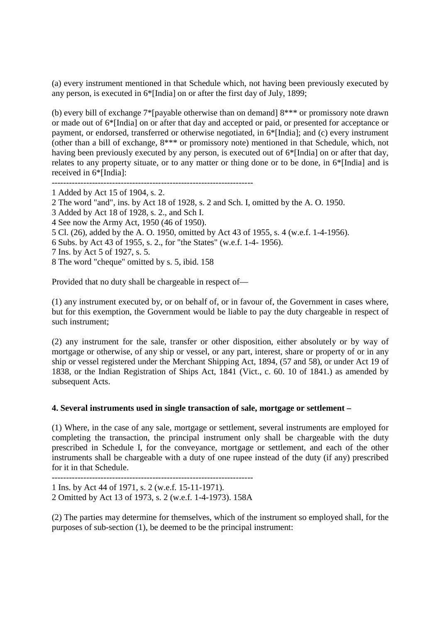(a) every instrument mentioned in that Schedule which, not having been previously executed by any person, is executed in 6\*[India] on or after the first day of July, 1899;

(b) every bill of exchange 7\*[payable otherwise than on demand] 8\*\*\* or promissory note drawn or made out of 6\*[India] on or after that day and accepted or paid, or presented for acceptance or payment, or endorsed, transferred or otherwise negotiated, in 6\*[India]; and (c) every instrument (other than a bill of exchange, 8\*\*\* or promissory note) mentioned in that Schedule, which, not having been previously executed by any person, is executed out of 6\*[India] on or after that day, relates to any property situate, or to any matter or thing done or to be done, in 6\*[India] and is received in 6\*[India]:

----------------------------------------------------------------------

2 The word "and", ins. by Act 18 of 1928, s. 2 and Sch. I, omitted by the A. O. 1950.

- 3 Added by Act 18 of 1928, s. 2., and Sch I.
- 4 See now the Army Act, 1950 (46 of 1950).
- 5 Cl. (26), added by the A. O. 1950, omitted by Act 43 of 1955, s. 4 (w.e.f. 1-4-1956).
- 6 Subs. by Act 43 of 1955, s. 2., for "the States" (w.e.f. 1-4- 1956).
- 7 Ins. by Act 5 of 1927, s. 5.
- 8 The word "cheque" omitted by s. 5, ibid. 158

Provided that no duty shall be chargeable in respect of—

(1) any instrument executed by, or on behalf of, or in favour of, the Government in cases where, but for this exemption, the Government would be liable to pay the duty chargeable in respect of such instrument;

(2) any instrument for the sale, transfer or other disposition, either absolutely or by way of mortgage or otherwise, of any ship or vessel, or any part, interest, share or property of or in any ship or vessel registered under the Merchant Shipping Act, 1894, (57 and 58), or under Act 19 of 1838, or the Indian Registration of Ships Act, 1841 (Vict., c. 60. 10 of 1841.) as amended by subsequent Acts.

### **4. Several instruments used in single transaction of sale, mortgage or settlement –**

(1) Where, in the case of any sale, mortgage or settlement, several instruments are employed for completing the transaction, the principal instrument only shall be chargeable with the duty prescribed in Schedule I, for the conveyance, mortgage or settlement, and each of the other instruments shall be chargeable with a duty of one rupee instead of the duty (if any) prescribed for it in that Schedule.

----------------------------------------------------------------------

1 Ins. by Act 44 of 1971, s. 2 (w.e.f. 15-11-1971). 2 Omitted by Act 13 of 1973, s. 2 (w.e.f. 1-4-1973). 158A

(2) The parties may determine for themselves, which of the instrument so employed shall, for the purposes of sub-section (1), be deemed to be the principal instrument:

<sup>1</sup> Added by Act 15 of 1904, s. 2.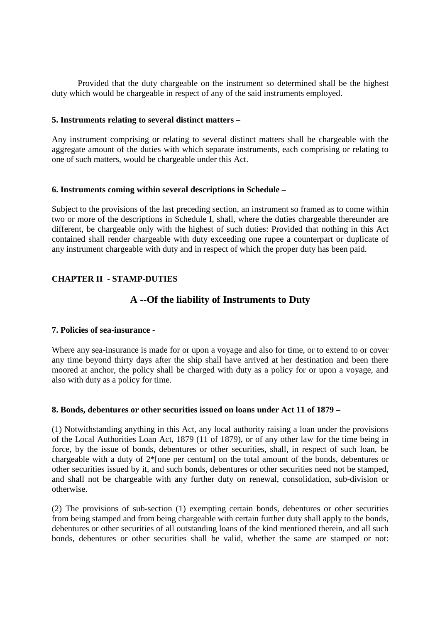Provided that the duty chargeable on the instrument so determined shall be the highest duty which would be chargeable in respect of any of the said instruments employed.

### **5. Instruments relating to several distinct matters –**

Any instrument comprising or relating to several distinct matters shall be chargeable with the aggregate amount of the duties with which separate instruments, each comprising or relating to one of such matters, would be chargeable under this Act.

### **6. Instruments coming within several descriptions in Schedule –**

Subject to the provisions of the last preceding section, an instrument so framed as to come within two or more of the descriptions in Schedule I, shall, where the duties chargeable thereunder are different, be chargeable only with the highest of such duties: Provided that nothing in this Act contained shall render chargeable with duty exceeding one rupee a counterpart or duplicate of any instrument chargeable with duty and in respect of which the proper duty has been paid.

# **CHAPTER II - STAMP-DUTIES**

# **A --Of the liability of Instruments to Duty**

### **7. Policies of sea-insurance -**

Where any sea-insurance is made for or upon a voyage and also for time, or to extend to or cover any time beyond thirty days after the ship shall have arrived at her destination and been there moored at anchor, the policy shall be charged with duty as a policy for or upon a voyage, and also with duty as a policy for time.

### **8. Bonds, debentures or other securities issued on loans under Act 11 of 1879 –**

(1) Notwithstanding anything in this Act, any local authority raising a loan under the provisions of the Local Authorities Loan Act, 1879 (11 of 1879), or of any other law for the time being in force, by the issue of bonds, debentures or other securities, shall, in respect of such loan, be chargeable with a duty of 2\*[one per centum] on the total amount of the bonds, debentures or other securities issued by it, and such bonds, debentures or other securities need not be stamped, and shall not be chargeable with any further duty on renewal, consolidation, sub-division or otherwise.

(2) The provisions of sub-section (1) exempting certain bonds, debentures or other securities from being stamped and from being chargeable with certain further duty shall apply to the bonds, debentures or other securities of all outstanding loans of the kind mentioned therein, and all such bonds, debentures or other securities shall be valid, whether the same are stamped or not: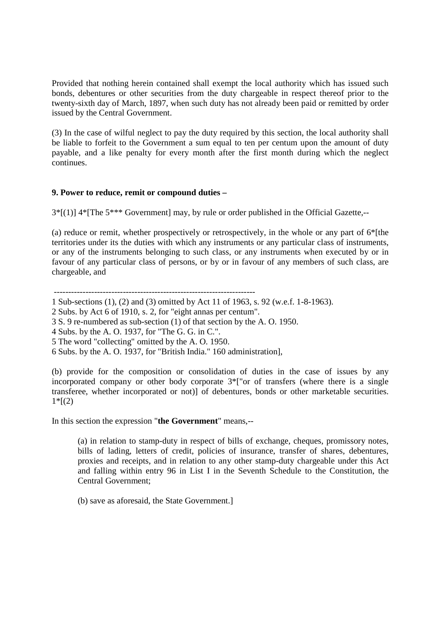Provided that nothing herein contained shall exempt the local authority which has issued such bonds, debentures or other securities from the duty chargeable in respect thereof prior to the twenty-sixth day of March, 1897, when such duty has not already been paid or remitted by order issued by the Central Government.

(3) In the case of wilful neglect to pay the duty required by this section, the local authority shall be liable to forfeit to the Government a sum equal to ten per centum upon the amount of duty payable, and a like penalty for every month after the first month during which the neglect continues.

# **9. Power to reduce, remit or compound duties –**

3\*[(1)] 4\*[The 5\*\*\* Government] may, by rule or order published in the Official Gazette,--

(a) reduce or remit, whether prospectively or retrospectively, in the whole or any part of 6\*[the territories under its the duties with which any instruments or any particular class of instruments, or any of the instruments belonging to such class, or any instruments when executed by or in favour of any particular class of persons, or by or in favour of any members of such class, are chargeable, and

----------------------------------------------------------------------

- 1 Sub-sections (1), (2) and (3) omitted by Act 11 of 1963, s. 92 (w.e.f. 1-8-1963).
- 2 Subs. by Act 6 of 1910, s. 2, for "eight annas per centum".
- 3 S. 9 re-numbered as sub-section (1) of that section by the A. O. 1950.
- 4 Subs. by the A. O. 1937, for "The G. G. in C.".
- 5 The word "collecting" omitted by the A. O. 1950.
- 6 Subs. by the A. O. 1937, for "British India." 160 administration],

(b) provide for the composition or consolidation of duties in the case of issues by any incorporated company or other body corporate 3\*["or of transfers (where there is a single transferee, whether incorporated or not)] of debentures, bonds or other marketable securities.  $1 * [(2)]$ 

In this section the expression "**the Government**" means,--

(a) in relation to stamp-duty in respect of bills of exchange, cheques, promissory notes, bills of lading, letters of credit, policies of insurance, transfer of shares, debentures, proxies and receipts, and in relation to any other stamp-duty chargeable under this Act and falling within entry 96 in List I in the Seventh Schedule to the Constitution, the Central Government;

(b) save as aforesaid, the State Government.]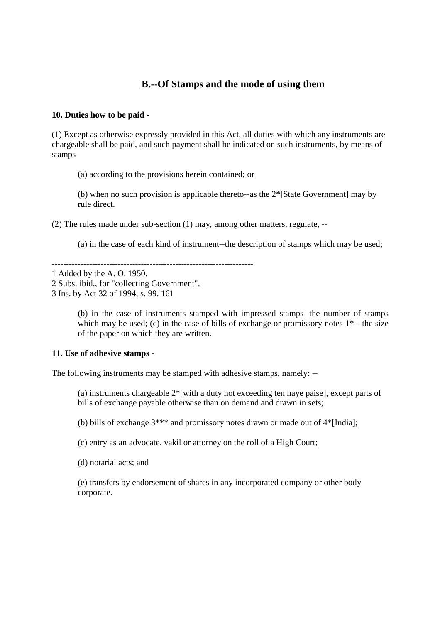# **B.--Of Stamps and the mode of using them**

# **10. Duties how to be paid -**

(1) Except as otherwise expressly provided in this Act, all duties with which any instruments are chargeable shall be paid, and such payment shall be indicated on such instruments, by means of stamps--

(a) according to the provisions herein contained; or

(b) when no such provision is applicable thereto--as the 2\*[State Government] may by rule direct.

(2) The rules made under sub-section (1) may, among other matters, regulate, --

(a) in the case of each kind of instrument--the description of stamps which may be used;

----------------------------------------------------------------------

1 Added by the A. O. 1950.

2 Subs. ibid., for "collecting Government".

(b) in the case of instruments stamped with impressed stamps--the number of stamps which may be used; (c) in the case of bills of exchange or promissory notes  $1^*$ -the size of the paper on which they are written.

# **11. Use of adhesive stamps -**

The following instruments may be stamped with adhesive stamps, namely: --

(a) instruments chargeable 2\*[with a duty not exceeding ten naye paise], except parts of bills of exchange payable otherwise than on demand and drawn in sets;

(b) bills of exchange  $3***$  and promissory notes drawn or made out of  $4*$ [India];

(c) entry as an advocate, vakil or attorney on the roll of a High Court;

(d) notarial acts; and

(e) transfers by endorsement of shares in any incorporated company or other body corporate.

<sup>3</sup> Ins. by Act 32 of 1994, s. 99. 161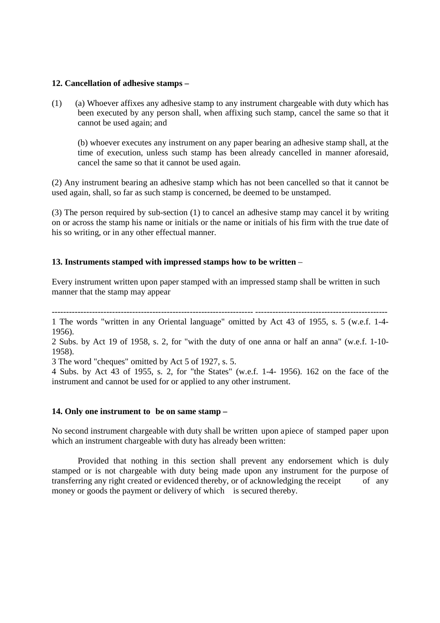### **12. Cancellation of adhesive stamps –**

(1) (a) Whoever affixes any adhesive stamp to any instrument chargeable with duty which has been executed by any person shall, when affixing such stamp, cancel the same so that it cannot be used again; and

(b) whoever executes any instrument on any paper bearing an adhesive stamp shall, at the time of execution, unless such stamp has been already cancelled in manner aforesaid, cancel the same so that it cannot be used again.

(2) Any instrument bearing an adhesive stamp which has not been cancelled so that it cannot be used again, shall, so far as such stamp is concerned, be deemed to be unstamped.

(3) The person required by sub-section (1) to cancel an adhesive stamp may cancel it by writing on or across the stamp his name or initials or the name or initials of his firm with the true date of his so writing, or in any other effectual manner.

### **13. Instruments stamped with impressed stamps how to be written** –

Every instrument written upon paper stamped with an impressed stamp shall be written in such manner that the stamp may appear

---------------------------------------------------------------------- ---------------------------------------------- 1 The words "written in any Oriental language" omitted by Act 43 of 1955, s. 5 (w.e.f. 1-4- 1956).

2 Subs. by Act 19 of 1958, s. 2, for "with the duty of one anna or half an anna" (w.e.f. 1-10- 1958).

3 The word "cheques" omitted by Act 5 of 1927, s. 5.

4 Subs. by Act 43 of 1955, s. 2, for "the States" (w.e.f. 1-4- 1956). 162 on the face of the instrument and cannot be used for or applied to any other instrument.

### **14. Only one instrument to be on same stamp –**

No second instrument chargeable with duty shall be written upon a piece of stamped paper upon which an instrument chargeable with duty has already been written:

Provided that nothing in this section shall prevent any endorsement which is duly stamped or is not chargeable with duty being made upon any instrument for the purpose of transferring any right created or evidenced thereby, or of acknowledging the receipt of any money or goods the payment or delivery of which is secured thereby.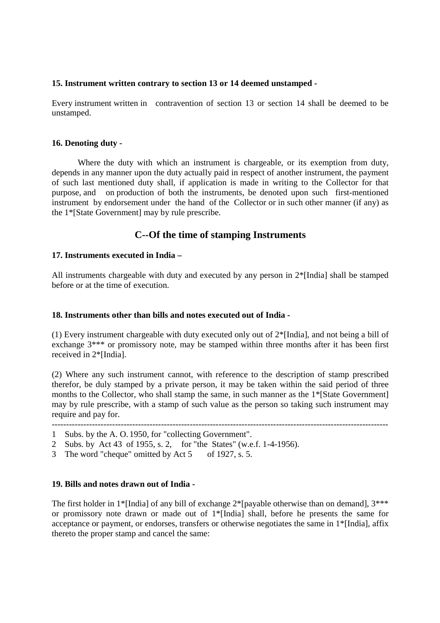# **15. Instrument written contrary to section 13 or 14 deemed unstamped -**

Every instrument written in contravention of section 13 or section 14 shall be deemed to be unstamped.

### **16. Denoting duty -**

Where the duty with which an instrument is chargeable, or its exemption from duty, depends in any manner upon the duty actually paid in respect of another instrument, the payment of such last mentioned duty shall, if application is made in writing to the Collector for that purpose, and on production of both the instruments, be denoted upon such first-mentioned instrument by endorsement under the hand of the Collector or in such other manner (if any) as the 1\*[State Government] may by rule prescribe.

# **C--Of the time of stamping Instruments**

### **17. Instruments executed in India –**

All instruments chargeable with duty and executed by any person in  $2^*$ [India] shall be stamped before or at the time of execution.

### **18. Instruments other than bills and notes executed out of India -**

(1) Every instrument chargeable with duty executed only out of 2\*[India], and not being a bill of exchange 3\*\*\* or promissory note, may be stamped within three months after it has been first received in 2\*[India].

(2) Where any such instrument cannot, with reference to the description of stamp prescribed therefor, be duly stamped by a private person, it may be taken within the said period of three months to the Collector, who shall stamp the same, in such manner as the 1\*[State Government] may by rule prescribe, with a stamp of such value as the person so taking such instrument may require and pay for.

- ---------------------------------------------------------------------------------------------------------------------
- 1 Subs. by the A. O. 1950, for "collecting Government".
- 2 Subs. by Act 43 of 1955, s. 2, for "the States" (w.e.f. 1-4-1956).
- 3 The word "cheque" omitted by Act 5 of 1927, s. 5.

### **19. Bills and notes drawn out of India -**

The first holder in 1\*[India] of any bill of exchange  $2*$ [payable otherwise than on demand],  $3***$ or promissory note drawn or made out of 1\*[India] shall, before he presents the same for acceptance or payment, or endorses, transfers or otherwise negotiates the same in 1\*[India], affix thereto the proper stamp and cancel the same: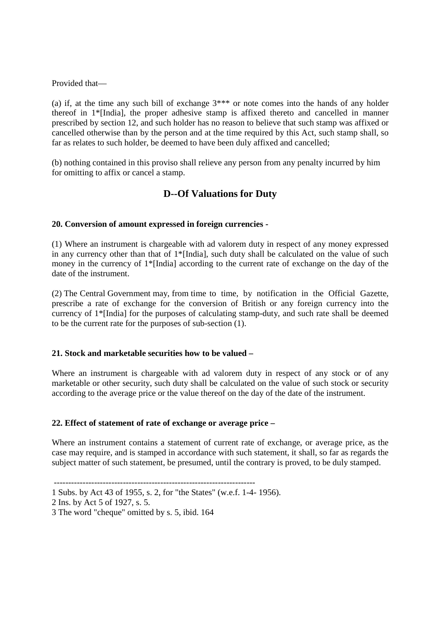Provided that—

(a) if, at the time any such bill of exchange 3\*\*\* or note comes into the hands of any holder thereof in 1\*[India], the proper adhesive stamp is affixed thereto and cancelled in manner prescribed by section 12, and such holder has no reason to believe that such stamp was affixed or cancelled otherwise than by the person and at the time required by this Act, such stamp shall, so far as relates to such holder, be deemed to have been duly affixed and cancelled;

(b) nothing contained in this proviso shall relieve any person from any penalty incurred by him for omitting to affix or cancel a stamp.

# **D--Of Valuations for Duty**

# **20. Conversion of amount expressed in foreign currencies -**

(1) Where an instrument is chargeable with ad valorem duty in respect of any money expressed in any currency other than that of 1\*[India], such duty shall be calculated on the value of such money in the currency of  $1^*$ [India] according to the current rate of exchange on the day of the date of the instrument.

(2) The Central Government may, from time to time, by notification in the Official Gazette, prescribe a rate of exchange for the conversion of British or any foreign currency into the currency of 1\*[India] for the purposes of calculating stamp-duty, and such rate shall be deemed to be the current rate for the purposes of sub-section (1).

# **21. Stock and marketable securities how to be valued –**

Where an instrument is chargeable with ad valorem duty in respect of any stock or of any marketable or other security, such duty shall be calculated on the value of such stock or security according to the average price or the value thereof on the day of the date of the instrument.

# **22. Effect of statement of rate of exchange or average price –**

Where an instrument contains a statement of current rate of exchange, or average price, as the case may require, and is stamped in accordance with such statement, it shall, so far as regards the subject matter of such statement, be presumed, until the contrary is proved, to be duly stamped.

 <sup>----------------------------------------------------------------------</sup> 

<sup>1</sup> Subs. by Act 43 of 1955, s. 2, for "the States" (w.e.f. 1-4- 1956).

<sup>2</sup> Ins. by Act 5 of 1927, s. 5.

<sup>3</sup> The word "cheque" omitted by s. 5, ibid. 164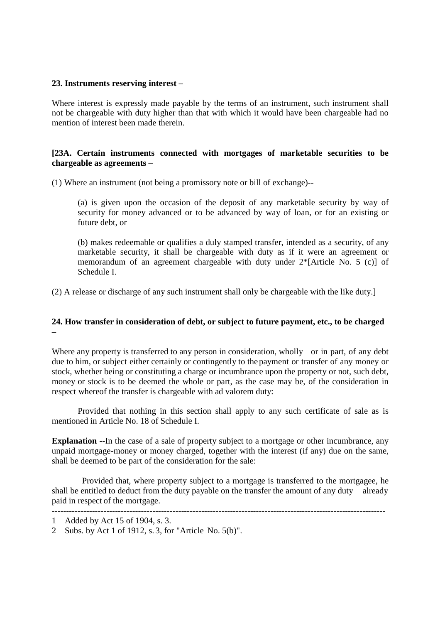### **23. Instruments reserving interest –**

Where interest is expressly made payable by the terms of an instrument, such instrument shall not be chargeable with duty higher than that with which it would have been chargeable had no mention of interest been made therein.

# **[23A. Certain instruments connected with mortgages of marketable securities to be chargeable as agreements –**

(1) Where an instrument (not being a promissory note or bill of exchange)--

(a) is given upon the occasion of the deposit of any marketable security by way of security for money advanced or to be advanced by way of loan, or for an existing or future debt, or

(b) makes redeemable or qualifies a duly stamped transfer, intended as a security, of any marketable security, it shall be chargeable with duty as if it were an agreement or memorandum of an agreement chargeable with duty under 2\*[Article No. 5 (c)] of Schedule I.

(2) A release or discharge of any such instrument shall only be chargeable with the like duty.]

# **24. How transfer in consideration of debt, or subject to future payment, etc., to be charged –**

Where any property is transferred to any person in consideration, wholly or in part, of any debt due to him, or subject either certainly or contingently to the payment or transfer of any money or stock, whether being or constituting a charge or incumbrance upon the property or not, such debt, money or stock is to be deemed the whole or part, as the case may be, of the consideration in respect whereof the transfer is chargeable with ad valorem duty:

Provided that nothing in this section shall apply to any such certificate of sale as is mentioned in Article No. 18 of Schedule I.

**Explanation --**In the case of a sale of property subject to a mortgage or other incumbrance, any unpaid mortgage-money or money charged, together with the interest (if any) due on the same, shall be deemed to be part of the consideration for the sale:

 Provided that, where property subject to a mortgage is transferred to the mortgagee, he shall be entitled to deduct from the duty payable on the transfer the amount of any duty already paid in respect of the mortgage.

<sup>--------------------------------------------------------------------------------------------------------------------</sup>  1 Added by Act 15 of 1904, s. 3.

<sup>2</sup> Subs. by Act 1 of 1912, s. 3, for "Article No. 5(b)".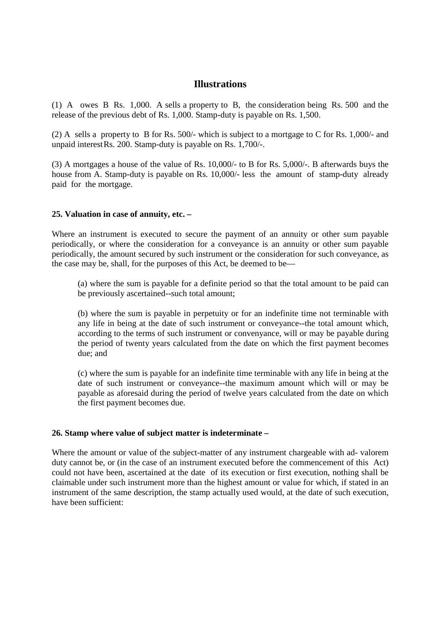# **Illustrations**

(1) A owes B Rs. 1,000. A sells a property to B, the consideration being Rs. 500 and the release of the previous debt of Rs. 1,000. Stamp-duty is payable on Rs. 1,500.

(2) A sells a property to B for Rs. 500/- which is subject to a mortgage to C for Rs. 1,000/- and unpaid interest Rs. 200. Stamp-duty is payable on Rs. 1,700/-.

(3) A mortgages a house of the value of Rs. 10,000/- to B for Rs. 5,000/-. B afterwards buys the house from A. Stamp-duty is payable on Rs. 10,000/- less the amount of stamp-duty already paid for the mortgage.

### **25. Valuation in case of annuity, etc. –**

Where an instrument is executed to secure the payment of an annuity or other sum payable periodically, or where the consideration for a conveyance is an annuity or other sum payable periodically, the amount secured by such instrument or the consideration for such conveyance, as the case may be, shall, for the purposes of this Act, be deemed to be—

(a) where the sum is payable for a definite period so that the total amount to be paid can be previously ascertained--such total amount;

(b) where the sum is payable in perpetuity or for an indefinite time not terminable with any life in being at the date of such instrument or conveyance--the total amount which, according to the terms of such instrument or convenyance, will or may be payable during the period of twenty years calculated from the date on which the first payment becomes due; and

(c) where the sum is payable for an indefinite time terminable with any life in being at the date of such instrument or conveyance--the maximum amount which will or may be payable as aforesaid during the period of twelve years calculated from the date on which the first payment becomes due.

### **26. Stamp where value of subject matter is indeterminate –**

Where the amount or value of the subject-matter of any instrument chargeable with ad- valorem duty cannot be, or (in the case of an instrument executed before the commencement of this Act) could not have been, ascertained at the date of its execution or first execution, nothing shall be claimable under such instrument more than the highest amount or value for which, if stated in an instrument of the same description, the stamp actually used would, at the date of such execution, have been sufficient: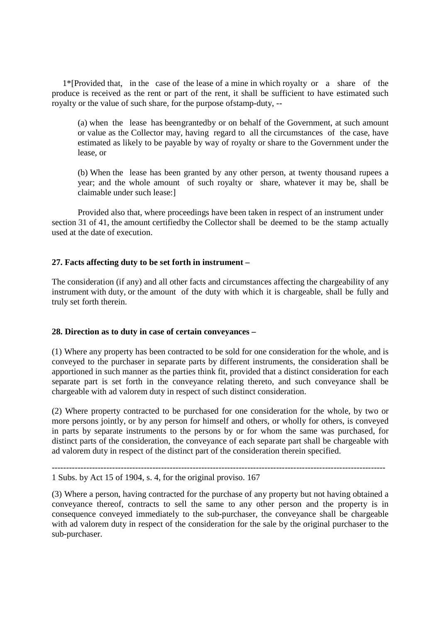1\*[Provided that, in the case of the lease of a mine in which royalty or a share of the produce is received as the rent or part of the rent, it shall be sufficient to have estimated such royalty or the value of such share, for the purpose of stamp-duty, --

(a) when the lease has been grantedby or on behalf of the Government, at such amount or value as the Collector may, having regard to all the circumstances of the case, have estimated as likely to be payable by way of royalty or share to the Government under the lease, or

 (b) When the lease has been granted by any other person, at twenty thousand rupees a year; and the whole amount of such royalty or share, whatever it may be, shall be claimable under such lease:]

 Provided also that, where proceedings have been taken in respect of an instrument under section 31 of 41, the amount certified by the Collector shall be deemed to be the stamp actually used at the date of execution.

# **27. Facts affecting duty to be set forth in instrument –**

The consideration (if any) and all other facts and circumstances affecting the chargeability of any instrument with duty, or the amount of the duty with which it is chargeable, shall be fully and truly set forth therein.

# **28. Direction as to duty in case of certain conveyances –**

(1) Where any property has been contracted to be sold for one consideration for the whole, and is conveyed to the purchaser in separate parts by different instruments, the consideration shall be apportioned in such manner as the parties think fit, provided that a distinct consideration for each separate part is set forth in the conveyance relating thereto, and such conveyance shall be chargeable with ad valorem duty in respect of such distinct consideration.

(2) Where property contracted to be purchased for one consideration for the whole, by two or more persons jointly, or by any person for himself and others, or wholly for others, is conveyed in parts by separate instruments to the persons by or for whom the same was purchased, for distinct parts of the consideration, the conveyance of each separate part shall be chargeable with ad valorem duty in respect of the distinct part of the consideration therein specified.

-------------------------------------------------------------------------------------------------------------------- 1 Subs. by Act 15 of 1904, s. 4, for the original proviso. 167

(3) Where a person, having contracted for the purchase of any property but not having obtained a conveyance thereof, contracts to sell the same to any other person and the property is in consequence conveyed immediately to the sub-purchaser, the conveyance shall be chargeable with ad valorem duty in respect of the consideration for the sale by the original purchaser to the sub-purchaser.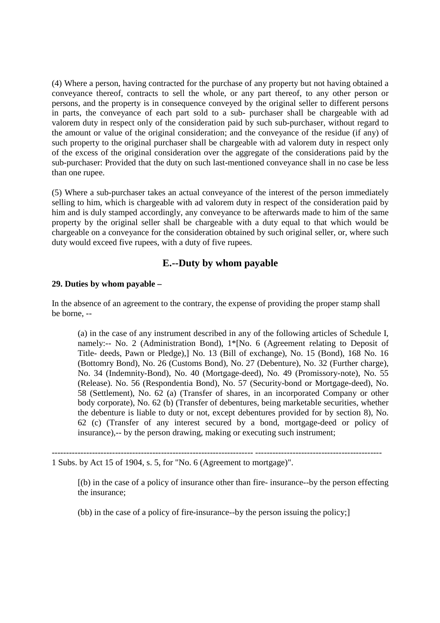(4) Where a person, having contracted for the purchase of any property but not having obtained a conveyance thereof, contracts to sell the whole, or any part thereof, to any other person or persons, and the property is in consequence conveyed by the original seller to different persons in parts, the conveyance of each part sold to a sub- purchaser shall be chargeable with ad valorem duty in respect only of the consideration paid by such sub-purchaser, without regard to the amount or value of the original consideration; and the conveyance of the residue (if any) of such property to the original purchaser shall be chargeable with ad valorem duty in respect only of the excess of the original consideration over the aggregate of the considerations paid by the sub-purchaser: Provided that the duty on such last-mentioned conveyance shall in no case be less than one rupee.

(5) Where a sub-purchaser takes an actual conveyance of the interest of the person immediately selling to him, which is chargeable with ad valorem duty in respect of the consideration paid by him and is duly stamped accordingly, any conveyance to be afterwards made to him of the same property by the original seller shall be chargeable with a duty equal to that which would be chargeable on a conveyance for the consideration obtained by such original seller, or, where such duty would exceed five rupees, with a duty of five rupees.

# **E.--Duty by whom payable**

# **29. Duties by whom payable –**

In the absence of an agreement to the contrary, the expense of providing the proper stamp shall be borne, --

(a) in the case of any instrument described in any of the following articles of Schedule I, namely:-- No. 2 (Administration Bond), 1\*[No. 6 (Agreement relating to Deposit of Title- deeds, Pawn or Pledge),] No. 13 (Bill of exchange), No. 15 (Bond), 168 No. 16 (Bottomry Bond), No. 26 (Customs Bond), No. 27 (Debenture), No. 32 (Further charge), No. 34 (Indemnity-Bond), No. 40 (Mortgage-deed), No. 49 (Promissory-note), No. 55 (Release). No. 56 (Respondentia Bond), No. 57 (Security-bond or Mortgage-deed), No. 58 (Settlement), No. 62 (a) (Transfer of shares, in an incorporated Company or other body corporate), No. 62 (b) (Transfer of debentures, being marketable securities, whether the debenture is liable to duty or not, except debentures provided for by section 8), No. 62 (c) (Transfer of any interest secured by a bond, mortgage-deed or policy of insurance),-- by the person drawing, making or executing such instrument;

---------------------------------------------------------------------- --------------------------------------------

1 Subs. by Act 15 of 1904, s. 5, for "No. 6 (Agreement to mortgage)".

[(b) in the case of a policy of insurance other than fire- insurance--by the person effecting the insurance;

(bb) in the case of a policy of fire-insurance--by the person issuing the policy;]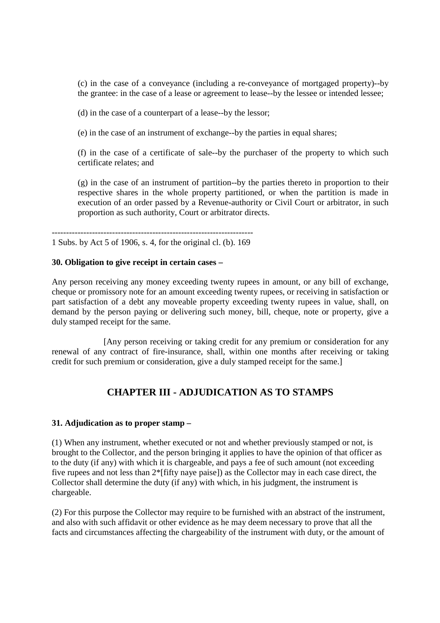(c) in the case of a conveyance (including a re-conveyance of mortgaged property)--by the grantee: in the case of a lease or agreement to lease--by the lessee or intended lessee;

(d) in the case of a counterpart of a lease--by the lessor;

(e) in the case of an instrument of exchange--by the parties in equal shares;

(f) in the case of a certificate of sale--by the purchaser of the property to which such certificate relates; and

(g) in the case of an instrument of partition--by the parties thereto in proportion to their respective shares in the whole property partitioned, or when the partition is made in execution of an order passed by a Revenue-authority or Civil Court or arbitrator, in such proportion as such authority, Court or arbitrator directs.

----------------------------------------------------------------------

1 Subs. by Act 5 of 1906, s. 4, for the original cl. (b). 169

### **30. Obligation to give receipt in certain cases –**

Any person receiving any money exceeding twenty rupees in amount, or any bill of exchange, cheque or promissory note for an amount exceeding twenty rupees, or receiving in satisfaction or part satisfaction of a debt any moveable property exceeding twenty rupees in value, shall, on demand by the person paying or delivering such money, bill, cheque, note or property, give a duly stamped receipt for the same.

[Any person receiving or taking credit for any premium or consideration for any renewal of any contract of fire-insurance, shall, within one months after receiving or taking credit for such premium or consideration, give a duly stamped receipt for the same.]

# **CHAPTER III - ADJUDICATION AS TO STAMPS**

### **31. Adjudication as to proper stamp –**

(1) When any instrument, whether executed or not and whether previously stamped or not, is brought to the Collector, and the person bringing it applies to have the opinion of that officer as to the duty (if any) with which it is chargeable, and pays a fee of such amount (not exceeding five rupees and not less than 2\*[fifty naye paise]) as the Collector may in each case direct, the Collector shall determine the duty (if any) with which, in his judgment, the instrument is chargeable.

(2) For this purpose the Collector may require to be furnished with an abstract of the instrument, and also with such affidavit or other evidence as he may deem necessary to prove that all the facts and circumstances affecting the chargeability of the instrument with duty, or the amount of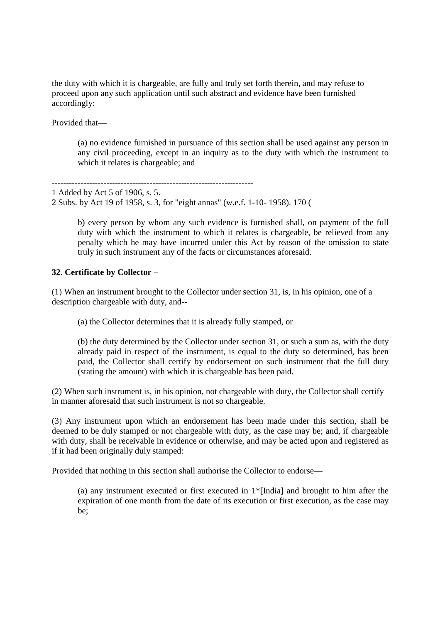the duty with which it is chargeable, are fully and truly set forth therein, and may refuse to proceed upon any such application until such abstract and evidence have been furnished accordingly:

Provided that—

(a) no evidence furnished in pursuance of this section shall be used against any person in any civil proceeding, except in an inquiry as to the duty with which the instrument to which it relates is chargeable; and

---------------------------------------------------------------------- 1 Added by Act 5 of 1906, s. 5. 2 Subs. by Act 19 of 1958, s. 3, for "eight annas" (w.e.f. 1-10- 1958). 170 (

> b) every person by whom any such evidence is furnished shall, on payment of the full duty with which the instrument to which it relates is chargeable, be relieved from any penalty which he may have incurred under this Act by reason of the omission to state truly in such instrument any of the facts or circumstances aforesaid.

# **32. Certificate by Collector –**

(1) When an instrument brought to the Collector under section 31, is, in his opinion, one of a description chargeable with duty, and--

(a) the Collector determines that it is already fully stamped, or

(b) the duty determined by the Collector under section 31, or such a sum as, with the duty already paid in respect of the instrument, is equal to the duty so determined, has been paid, the Collector shall certify by endorsement on such instrument that the full duty (stating the amount) with which it is chargeable has been paid.

(2) When such instrument is, in his opinion, not chargeable with duty, the Collector shall certify in manner aforesaid that such instrument is not so chargeable.

(3) Any instrument upon which an endorsement has been made under this section, shall be deemed to be duly stamped or not chargeable with duty, as the case may be; and, if chargeable with duty, shall be receivable in evidence or otherwise, and may be acted upon and registered as if it had been originally duly stamped:

Provided that nothing in this section shall authorise the Collector to endorse—

(a) any instrument executed or first executed in 1\*[India] and brought to him after the expiration of one month from the date of its execution or first execution, as the case may be;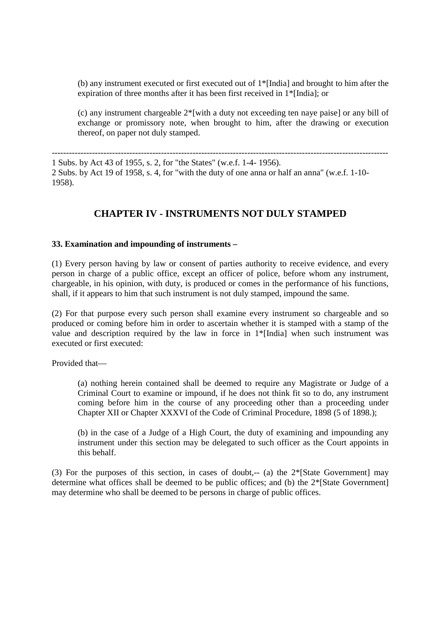(b) any instrument executed or first executed out of 1\*[India] and brought to him after the expiration of three months after it has been first received in 1\*[India]; or

(c) any instrument chargeable 2\*[with a duty not exceeding ten naye paise] or any bill of exchange or promissory note, when brought to him, after the drawing or execution thereof, on paper not duly stamped.

--------------------------------------------------------------------------------------------------------------------- 1 Subs. by Act 43 of 1955, s. 2, for "the States" (w.e.f. 1-4- 1956). 2 Subs. by Act 19 of 1958, s. 4, for "with the duty of one anna or half an anna" (w.e.f. 1-10- 1958).

# **CHAPTER IV - INSTRUMENTS NOT DULY STAMPED**

### **33. Examination and impounding of instruments –**

(1) Every person having by law or consent of parties authority to receive evidence, and every person in charge of a public office, except an officer of police, before whom any instrument, chargeable, in his opinion, with duty, is produced or comes in the performance of his functions, shall, if it appears to him that such instrument is not duly stamped, impound the same.

(2) For that purpose every such person shall examine every instrument so chargeable and so produced or coming before him in order to ascertain whether it is stamped with a stamp of the value and description required by the law in force in 1\*[India] when such instrument was executed or first executed:

Provided that—

(a) nothing herein contained shall be deemed to require any Magistrate or Judge of a Criminal Court to examine or impound, if he does not think fit so to do, any instrument coming before him in the course of any proceeding other than a proceeding under Chapter XII or Chapter XXXVI of the Code of Criminal Procedure, 1898 (5 of 1898.);

(b) in the case of a Judge of a High Court, the duty of examining and impounding any instrument under this section may be delegated to such officer as the Court appoints in this behalf.

(3) For the purposes of this section, in cases of doubt,-- (a) the  $2*$ [State Government] may determine what offices shall be deemed to be public offices; and (b) the 2\*[State Government] may determine who shall be deemed to be persons in charge of public offices.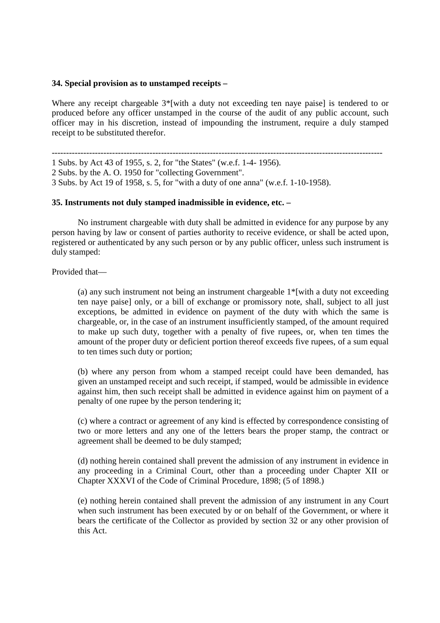### **34. Special provision as to unstamped receipts –**

Where any receipt chargeable  $3$ <sup>\*</sup>[with a duty not exceeding ten naye paise] is tendered to or produced before any officer unstamped in the course of the audit of any public account, such officer may in his discretion, instead of impounding the instrument, require a duly stamped receipt to be substituted therefor.

------------------------------------------------------------------------------------------------------------------- 1 Subs. by Act 43 of 1955, s. 2, for "the States" (w.e.f. 1-4- 1956). 2 Subs. by the A. O. 1950 for "collecting Government". 3 Subs. by Act 19 of 1958, s. 5, for "with a duty of one anna" (w.e.f. 1-10-1958).

### **35. Instruments not duly stamped inadmissible in evidence, etc. –**

No instrument chargeable with duty shall be admitted in evidence for any purpose by any person having by law or consent of parties authority to receive evidence, or shall be acted upon, registered or authenticated by any such person or by any public officer, unless such instrument is duly stamped:

Provided that—

(a) any such instrument not being an instrument chargeable 1\*[with a duty not exceeding ten naye paise] only, or a bill of exchange or promissory note, shall, subject to all just exceptions, be admitted in evidence on payment of the duty with which the same is chargeable, or, in the case of an instrument insufficiently stamped, of the amount required to make up such duty, together with a penalty of five rupees, or, when ten times the amount of the proper duty or deficient portion thereof exceeds five rupees, of a sum equal to ten times such duty or portion;

(b) where any person from whom a stamped receipt could have been demanded, has given an unstamped receipt and such receipt, if stamped, would be admissible in evidence against him, then such receipt shall be admitted in evidence against him on payment of a penalty of one rupee by the person tendering it;

(c) where a contract or agreement of any kind is effected by correspondence consisting of two or more letters and any one of the letters bears the proper stamp, the contract or agreement shall be deemed to be duly stamped;

(d) nothing herein contained shall prevent the admission of any instrument in evidence in any proceeding in a Criminal Court, other than a proceeding under Chapter XII or Chapter XXXVI of the Code of Criminal Procedure, 1898; (5 of 1898.)

(e) nothing herein contained shall prevent the admission of any instrument in any Court when such instrument has been executed by or on behalf of the Government, or where it bears the certificate of the Collector as provided by section 32 or any other provision of this Act.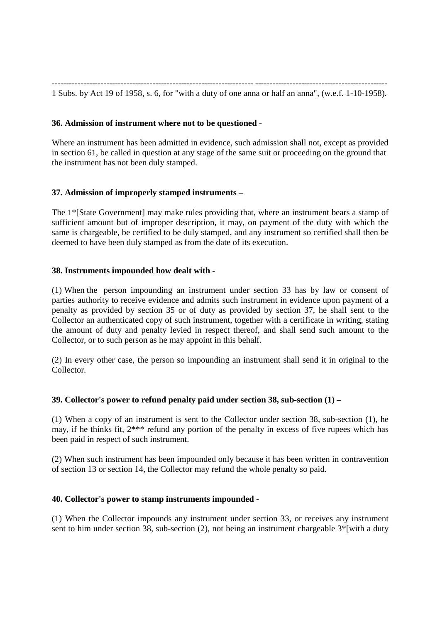---------------------------------------------------------------------- ---------------------------------------------- 1 Subs. by Act 19 of 1958, s. 6, for "with a duty of one anna or half an anna", (w.e.f. 1-10-1958).

# **36. Admission of instrument where not to be questioned -**

Where an instrument has been admitted in evidence, such admission shall not, except as provided in section 61, be called in question at any stage of the same suit or proceeding on the ground that the instrument has not been duly stamped.

# **37. Admission of improperly stamped instruments –**

The 1\*[State Government] may make rules providing that, where an instrument bears a stamp of sufficient amount but of improper description, it may, on payment of the duty with which the same is chargeable, be certified to be duly stamped, and any instrument so certified shall then be deemed to have been duly stamped as from the date of its execution.

# **38. Instruments impounded how dealt with -**

(1) When the person impounding an instrument under section 33 has by law or consent of parties authority to receive evidence and admits such instrument in evidence upon payment of a penalty as provided by section 35 or of duty as provided by section 37, he shall sent to the Collector an authenticated copy of such instrument, together with a certificate in writing, stating the amount of duty and penalty levied in respect thereof, and shall send such amount to the Collector, or to such person as he may appoint in this behalf.

(2) In every other case, the person so impounding an instrument shall send it in original to the Collector.

# **39. Collector's power to refund penalty paid under section 38, sub-section (1) –**

(1) When a copy of an instrument is sent to the Collector under section 38, sub-section (1), he may, if he thinks fit, 2\*\*\* refund any portion of the penalty in excess of five rupees which has been paid in respect of such instrument.

(2) When such instrument has been impounded only because it has been written in contravention of section 13 or section 14, the Collector may refund the whole penalty so paid.

# **40. Collector's power to stamp instruments impounded -**

(1) When the Collector impounds any instrument under section 33, or receives any instrument sent to him under section 38, sub-section (2), not being an instrument chargeable  $3^*$ [with a duty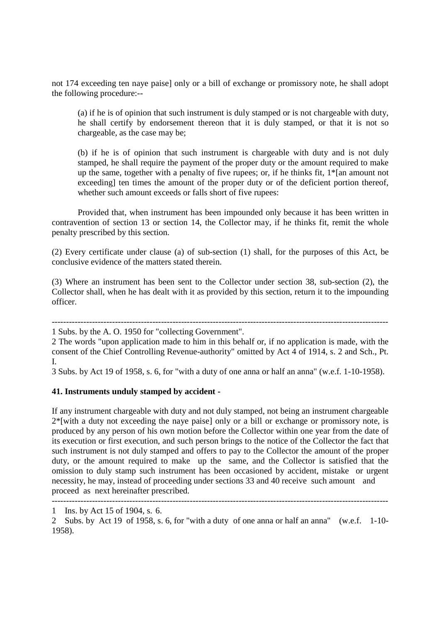not 174 exceeding ten naye paise] only or a bill of exchange or promissory note, he shall adopt the following procedure:--

(a) if he is of opinion that such instrument is duly stamped or is not chargeable with duty, he shall certify by endorsement thereon that it is duly stamped, or that it is not so chargeable, as the case may be;

(b) if he is of opinion that such instrument is chargeable with duty and is not duly stamped, he shall require the payment of the proper duty or the amount required to make up the same, together with a penalty of five rupees; or, if he thinks fit, 1\*[an amount not exceeding] ten times the amount of the proper duty or of the deficient portion thereof, whether such amount exceeds or falls short of five rupees:

Provided that, when instrument has been impounded only because it has been written in contravention of section 13 or section 14, the Collector may, if he thinks fit, remit the whole penalty prescribed by this section.

(2) Every certificate under clause (a) of sub-section (1) shall, for the purposes of this Act, be conclusive evidence of the matters stated therein.

(3) Where an instrument has been sent to the Collector under section 38, sub-section (2), the Collector shall, when he has dealt with it as provided by this section, return it to the impounding officer.

---------------------------------------------------------------------------------------------------------------------

1 Subs. by the A. O. 1950 for "collecting Government".

2 The words "upon application made to him in this behalf or, if no application is made, with the consent of the Chief Controlling Revenue-authority" omitted by Act 4 of 1914, s. 2 and Sch., Pt. I.

3 Subs. by Act 19 of 1958, s. 6, for "with a duty of one anna or half an anna" (w.e.f. 1-10-1958).

### **41. Instruments unduly stamped by accident -**

If any instrument chargeable with duty and not duly stamped, not being an instrument chargeable  $2^*$ [with a duty not exceeding the naye paise] only or a bill or exchange or promissory note, is produced by any person of his own motion before the Collector within one year from the date of its execution or first execution, and such person brings to the notice of the Collector the fact that such instrument is not duly stamped and offers to pay to the Collector the amount of the proper duty, or the amount required to make up the same, and the Collector is satisfied that the omission to duly stamp such instrument has been occasioned by accident, mistake or urgent necessity, he may, instead of proceeding under sections 33 and 40 receive such amount and proceed as next hereinafter prescribed.

<sup>---------------------------------------------------------------------------------------------------------------------</sup> 

<sup>1</sup> Ins. by Act 15 of 1904, s. 6.

<sup>2</sup> Subs. by Act 19 of 1958, s. 6, for "with a duty of one anna or half an anna" (w.e.f. 1-10- 1958).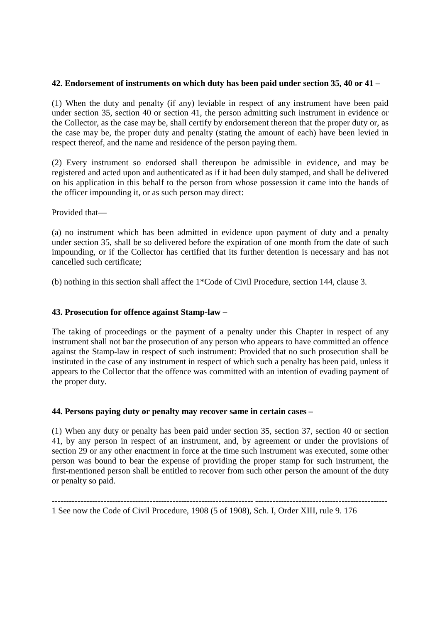# **42. Endorsement of instruments on which duty has been paid under section 35, 40 or 41 –**

(1) When the duty and penalty (if any) leviable in respect of any instrument have been paid under section 35, section 40 or section 41, the person admitting such instrument in evidence or the Collector, as the case may be, shall certify by endorsement thereon that the proper duty or, as the case may be, the proper duty and penalty (stating the amount of each) have been levied in respect thereof, and the name and residence of the person paying them.

(2) Every instrument so endorsed shall thereupon be admissible in evidence, and may be registered and acted upon and authenticated as if it had been duly stamped, and shall be delivered on his application in this behalf to the person from whose possession it came into the hands of the officer impounding it, or as such person may direct:

Provided that—

(a) no instrument which has been admitted in evidence upon payment of duty and a penalty under section 35, shall be so delivered before the expiration of one month from the date of such impounding, or if the Collector has certified that its further detention is necessary and has not cancelled such certificate;

(b) nothing in this section shall affect the 1\*Code of Civil Procedure, section 144, clause 3.

# **43. Prosecution for offence against Stamp-law –**

The taking of proceedings or the payment of a penalty under this Chapter in respect of any instrument shall not bar the prosecution of any person who appears to have committed an offence against the Stamp-law in respect of such instrument: Provided that no such prosecution shall be instituted in the case of any instrument in respect of which such a penalty has been paid, unless it appears to the Collector that the offence was committed with an intention of evading payment of the proper duty.

# **44. Persons paying duty or penalty may recover same in certain cases –**

(1) When any duty or penalty has been paid under section 35, section 37, section 40 or section 41, by any person in respect of an instrument, and, by agreement or under the provisions of section 29 or any other enactment in force at the time such instrument was executed, some other person was bound to bear the expense of providing the proper stamp for such instrument, the first-mentioned person shall be entitled to recover from such other person the amount of the duty or penalty so paid.

<sup>---------------------------------------------------------------------- ----------------------------------------------</sup>  1 See now the Code of Civil Procedure, 1908 (5 of 1908), Sch. I, Order XIII, rule 9. 176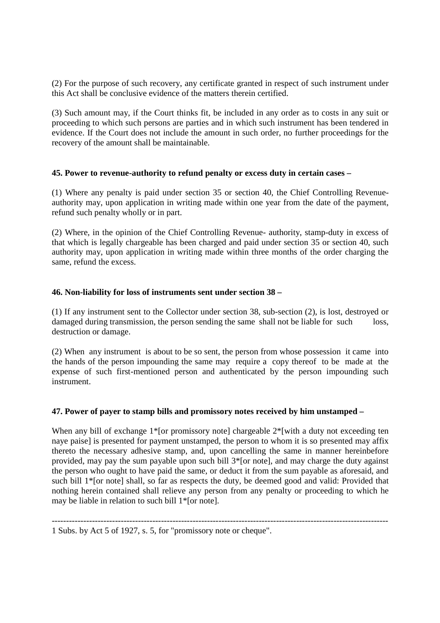(2) For the purpose of such recovery, any certificate granted in respect of such instrument under this Act shall be conclusive evidence of the matters therein certified.

(3) Such amount may, if the Court thinks fit, be included in any order as to costs in any suit or proceeding to which such persons are parties and in which such instrument has been tendered in evidence. If the Court does not include the amount in such order, no further proceedings for the recovery of the amount shall be maintainable.

# **45. Power to revenue-authority to refund penalty or excess duty in certain cases –**

(1) Where any penalty is paid under section 35 or section 40, the Chief Controlling Revenueauthority may, upon application in writing made within one year from the date of the payment, refund such penalty wholly or in part.

(2) Where, in the opinion of the Chief Controlling Revenue- authority, stamp-duty in excess of that which is legally chargeable has been charged and paid under section 35 or section 40, such authority may, upon application in writing made within three months of the order charging the same, refund the excess.

# **46. Non-liability for loss of instruments sent under section 38 –**

(1) If any instrument sent to the Collector under section 38, sub-section (2), is lost, destroyed or damaged during transmission, the person sending the same shall not be liable for such loss, destruction or damage.

(2) When any instrument is about to be so sent, the person from whose possession it came into the hands of the person impounding the same may require a copy thereof to be made at the expense of such first-mentioned person and authenticated by the person impounding such instrument.

# **47. Power of payer to stamp bills and promissory notes received by him unstamped –**

When any bill of exchange 1<sup>\*</sup>[or promissory note] chargeable 2<sup>\*</sup>[with a duty not exceeding ten naye paise] is presented for payment unstamped, the person to whom it is so presented may affix thereto the necessary adhesive stamp, and, upon cancelling the same in manner hereinbefore provided, may pay the sum payable upon such bill 3\*[or note], and may charge the duty against the person who ought to have paid the same, or deduct it from the sum payable as aforesaid, and such bill 1\*[or note] shall, so far as respects the duty, be deemed good and valid: Provided that nothing herein contained shall relieve any person from any penalty or proceeding to which he may be liable in relation to such bill 1\*[or note].

---------------------------------------------------------------------------------------------------------------------

<sup>1</sup> Subs. by Act 5 of 1927, s. 5, for "promissory note or cheque".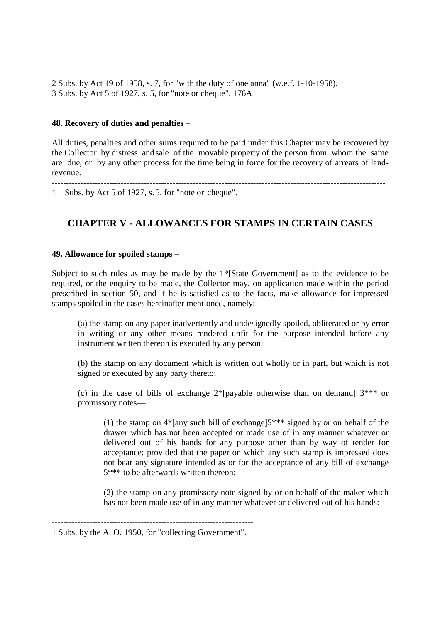2 Subs. by Act 19 of 1958, s. 7, for "with the duty of one anna" (w.e.f. 1-10-1958). 3 Subs. by Act 5 of 1927, s. 5, for "note or cheque". 176A

### **48. Recovery of duties and penalties –**

All duties, penalties and other sums required to be paid under this Chapter may be recovered by the Collector by distress and sale of the movable property of the person from whom the same are due, or by any other process for the time being in force for the recovery of arrears of landrevenue.

--------------------------------------------------------------------------------------------------------------------

1 Subs. by Act 5 of 1927, s. 5, for "note or cheque".

# **CHAPTER V - ALLOWANCES FOR STAMPS IN CERTAIN CASES**

### **49. Allowance for spoiled stamps –**

Subject to such rules as may be made by the 1\*[State Government] as to the evidence to be required, or the enquiry to be made, the Collector may, on application made within the period prescribed in section 50, and if he is satisfied as to the facts, make allowance for impressed stamps spoiled in the cases hereinafter mentioned, namely:--

(a) the stamp on any paper inadvertently and undesignedly spoiled, obliterated or by error in writing or any other means rendered unfit for the purpose intended before any instrument written thereon is executed by any person;

(b) the stamp on any document which is written out wholly or in part, but which is not signed or executed by any party thereto;

(c) in the case of bills of exchange  $2^*$ [payable otherwise than on demand]  $3^{***}$  or promissory notes—

(1) the stamp on 4\*[any such bill of exchange]5\*\*\* signed by or on behalf of the drawer which has not been accepted or made use of in any manner whatever or delivered out of his hands for any purpose other than by way of tender for acceptance: provided that the paper on which any such stamp is impressed does not bear any signature intended as or for the acceptance of any bill of exchange 5\*\*\* to be afterwards written thereon:

(2) the stamp on any promissory note signed by or on behalf of the maker which has not been made use of in any manner whatever or delivered out of his hands:

<sup>----------------------------------------------------------------------</sup>  1 Subs. by the A. O. 1950, for "collecting Government".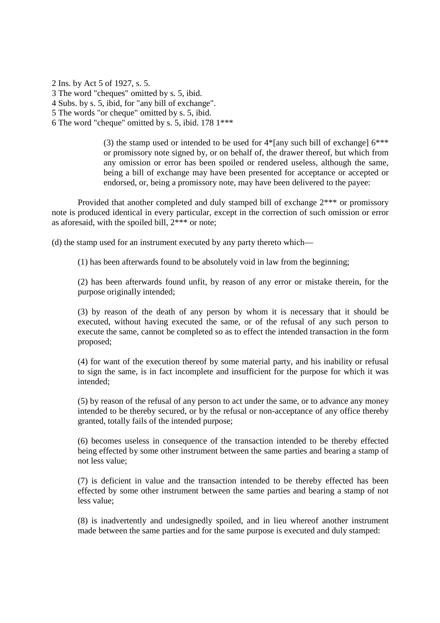2 Ins. by Act 5 of 1927, s. 5. 3 The word "cheques" omitted by s. 5, ibid. 4 Subs. by s. 5, ibid, for "any bill of exchange". 5 The words "or cheque" omitted by s. 5, ibid. 6 The word "cheque" omitted by s. 5, ibid. 178 1\*\*\*

> (3) the stamp used or intended to be used for  $4*$ [any such bill of exchange]  $6***$ or promissory note signed by, or on behalf of, the drawer thereof, but which from any omission or error has been spoiled or rendered useless, although the same, being a bill of exchange may have been presented for acceptance or accepted or endorsed, or, being a promissory note, may have been delivered to the payee:

Provided that another completed and duly stamped bill of exchange 2\*\*\* or promissory note is produced identical in every particular, except in the correction of such omission or error as aforesaid, with the spoiled bill, 2\*\*\* or note;

(d) the stamp used for an instrument executed by any party thereto which—

(1) has been afterwards found to be absolutely void in law from the beginning;

(2) has been afterwards found unfit, by reason of any error or mistake therein, for the purpose originally intended;

(3) by reason of the death of any person by whom it is necessary that it should be executed, without having executed the same, or of the refusal of any such person to execute the same, cannot be completed so as to effect the intended transaction in the form proposed;

(4) for want of the execution thereof by some material party, and his inability or refusal to sign the same, is in fact incomplete and insufficient for the purpose for which it was intended;

(5) by reason of the refusal of any person to act under the same, or to advance any money intended to be thereby secured, or by the refusal or non-acceptance of any office thereby granted, totally fails of the intended purpose;

(6) becomes useless in consequence of the transaction intended to be thereby effected being effected by some other instrument between the same parties and bearing a stamp of not less value;

(7) is deficient in value and the transaction intended to be thereby effected has been effected by some other instrument between the same parties and bearing a stamp of not less value;

(8) is inadvertently and undesignedly spoiled, and in lieu whereof another instrument made between the same parties and for the same purpose is executed and duly stamped: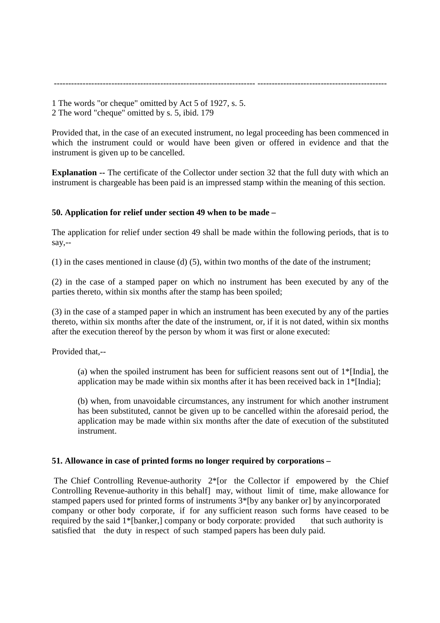1 The words "or cheque" omitted by Act 5 of 1927, s. 5. 2 The word "cheque" omitted by s. 5, ibid. 179

Provided that, in the case of an executed instrument, no legal proceeding has been commenced in which the instrument could or would have been given or offered in evidence and that the instrument is given up to be cancelled.

---------------------------------------------------------------------- ---------------------------------------------

**Explanation --** The certificate of the Collector under section 32 that the full duty with which an instrument is chargeable has been paid is an impressed stamp within the meaning of this section.

# **50. Application for relief under section 49 when to be made –**

The application for relief under section 49 shall be made within the following periods, that is to say,--

(1) in the cases mentioned in clause (d) (5), within two months of the date of the instrument;

(2) in the case of a stamped paper on which no instrument has been executed by any of the parties thereto, within six months after the stamp has been spoiled;

(3) in the case of a stamped paper in which an instrument has been executed by any of the parties thereto, within six months after the date of the instrument, or, if it is not dated, within six months after the execution thereof by the person by whom it was first or alone executed:

Provided that,--

(a) when the spoiled instrument has been for sufficient reasons sent out of 1\*[India], the application may be made within six months after it has been received back in  $1*$ [India];

(b) when, from unavoidable circumstances, any instrument for which another instrument has been substituted, cannot be given up to be cancelled within the aforesaid period, the application may be made within six months after the date of execution of the substituted instrument.

# **51. Allowance in case of printed forms no longer required by corporations –**

The Chief Controlling Revenue-authority 2<sup>\*</sup>[or the Collector if empowered by the Chief Controlling Revenue-authority in this behalf] may, without limit of time, make allowance for stamped papers used for printed forms of instruments 3\*[by any banker or] by any incorporated company or other body corporate, if for any sufficient reason such forms have ceased to be required by the said 1\*[banker,] company or body corporate: provided that such authority is satisfied that the duty in respect of such stamped papers has been duly paid.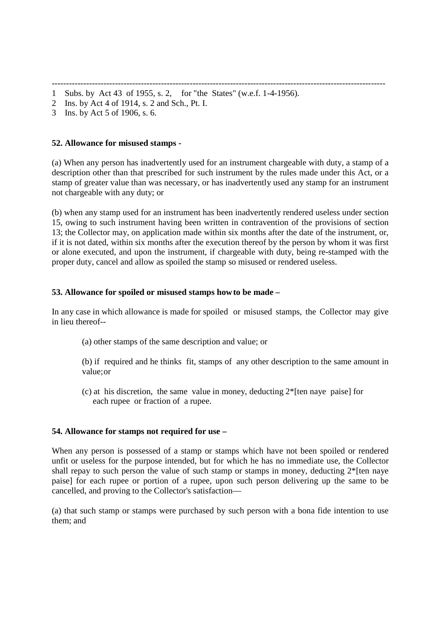- -------------------------------------------------------------------------------------------------------------------- 1 Subs. by Act 43 of 1955, s. 2, for "the States" (w.e.f. 1-4-1956).
- 2 Ins. by Act 4 of 1914, s. 2 and Sch., Pt. I.
- 3 Ins. by Act 5 of 1906, s. 6.

### **52. Allowance for misused stamps -**

(a) When any person has inadvertently used for an instrument chargeable with duty, a stamp of a description other than that prescribed for such instrument by the rules made under this Act, or a stamp of greater value than was necessary, or has inadvertently used any stamp for an instrument not chargeable with any duty; or

(b) when any stamp used for an instrument has been inadvertently rendered useless under section 15, owing to such instrument having been written in contravention of the provisions of section 13; the Collector may, on application made within six months after the date of the instrument, or, if it is not dated, within six months after the execution thereof by the person by whom it was first or alone executed, and upon the instrument, if chargeable with duty, being re-stamped with the proper duty, cancel and allow as spoiled the stamp so misused or rendered useless.

### **53. Allowance for spoiled or misused stamps how to be made –**

In any case in which allowance is made for spoiled or misused stamps, the Collector may give in lieu thereof--

(a) other stamps of the same description and value; or

(b) if required and he thinks fit, stamps of any other description to the same amount in value; or

 (c) at his discretion, the same value in money, deducting 2\*[ten naye paise] for each rupee or fraction of a rupee.

# **54. Allowance for stamps not required for use –**

When any person is possessed of a stamp or stamps which have not been spoiled or rendered unfit or useless for the purpose intended, but for which he has no immediate use, the Collector shall repay to such person the value of such stamp or stamps in money, deducting 2\*[ten naye paise] for each rupee or portion of a rupee, upon such person delivering up the same to be cancelled, and proving to the Collector's satisfaction—

(a) that such stamp or stamps were purchased by such person with a bona fide intention to use them; and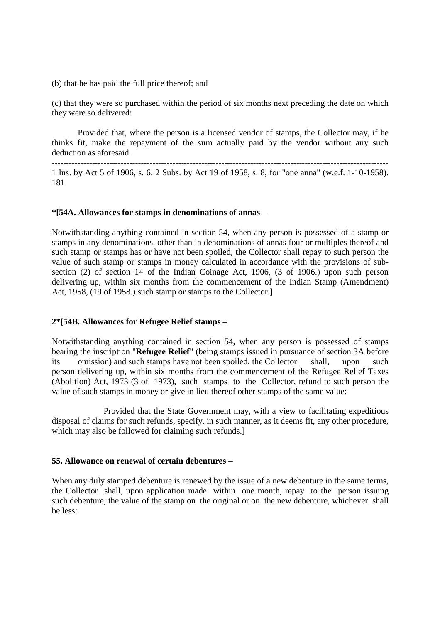(b) that he has paid the full price thereof; and

(c) that they were so purchased within the period of six months next preceding the date on which they were so delivered:

Provided that, where the person is a licensed vendor of stamps, the Collector may, if he thinks fit, make the repayment of the sum actually paid by the vendor without any such deduction as aforesaid.

--------------------------------------------------------------------------------------------------------------------- 1 Ins. by Act 5 of 1906, s. 6. 2 Subs. by Act 19 of 1958, s. 8, for "one anna" (w.e.f. 1-10-1958). 181

### **\*[54A. Allowances for stamps in denominations of annas –**

Notwithstanding anything contained in section 54, when any person is possessed of a stamp or stamps in any denominations, other than in denominations of annas four or multiples thereof and such stamp or stamps has or have not been spoiled, the Collector shall repay to such person the value of such stamp or stamps in money calculated in accordance with the provisions of subsection (2) of section 14 of the Indian Coinage Act, 1906, (3 of 1906.) upon such person delivering up, within six months from the commencement of the Indian Stamp (Amendment) Act, 1958, (19 of 1958.) such stamp or stamps to the Collector.]

### **2\*[54B. Allowances for Refugee Relief stamps –**

Notwithstanding anything contained in section 54, when any person is possessed of stamps bearing the inscription "**Refugee Relief**" (being stamps issued in pursuance of section 3A before its omission) and such stamps have not been spoiled, the Collector shall, upon such person delivering up, within six months from the commencement of the Refugee Relief Taxes (Abolition) Act, 1973 (3 of 1973), such stamps to the Collector, refund to such person the value of such stamps in money or give in lieu thereof other stamps of the same value:

 Provided that the State Government may, with a view to facilitating expeditious disposal of claims for such refunds, specify, in such manner, as it deems fit, any other procedure, which may also be followed for claiming such refunds.]

# **55. Allowance on renewal of certain debentures –**

When any duly stamped debenture is renewed by the issue of a new debenture in the same terms, the Collector shall, upon application made within one month, repay to the person issuing such debenture, the value of the stamp on the original or on the new debenture, whichever shall be less: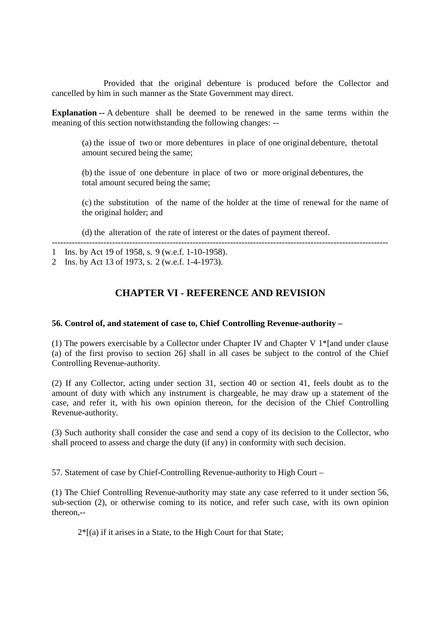Provided that the original debenture is produced before the Collector and cancelled by him in such manner as the State Government may direct.

**Explanation --** A debenture shall be deemed to be renewed in the same terms within the meaning of this section notwithstanding the following changes: --

(a) the issue of two or more debentures in place of one original debenture, the total amount secured being the same;

(b) the issue of one debenture in place of two or more original debentures, the total amount secured being the same;

(c) the substitution of the name of the holder at the time of renewal for the name of the original holder; and

(d) the alteration of the rate of interest or the dates of payment thereof.

1 Ins. by Act 19 of 1958, s. 9 (w.e.f. 1-10-1958).

2 Ins. by Act 13 of 1973, s. 2 (w.e.f. 1-4-1973).

# **CHAPTER VI - REFERENCE AND REVISION**

---------------------------------------------------------------------------------------------------------------------

### **56. Control of, and statement of case to, Chief Controlling Revenue-authority –**

(1) The powers exercisable by a Collector under Chapter IV and Chapter V 1\*[and under clause (a) of the first proviso to section 26] shall in all cases be subject to the control of the Chief Controlling Revenue-authority.

(2) If any Collector, acting under section 31, section 40 or section 41, feels doubt as to the amount of duty with which any instrument is chargeable, he may draw up a statement of the case, and refer it, with his own opinion thereon, for the decision of the Chief Controlling Revenue-authority.

(3) Such authority shall consider the case and send a copy of its decision to the Collector, who shall proceed to assess and charge the duty (if any) in conformity with such decision.

57. Statement of case by Chief-Controlling Revenue-authority to High Court –

(1) The Chief Controlling Revenue-authority may state any case referred to it under section 56, sub-section (2), or otherwise coming to its notice, and refer such case, with its own opinion thereon,--

 $2 *$ [(a) if it arises in a State, to the High Court for that State;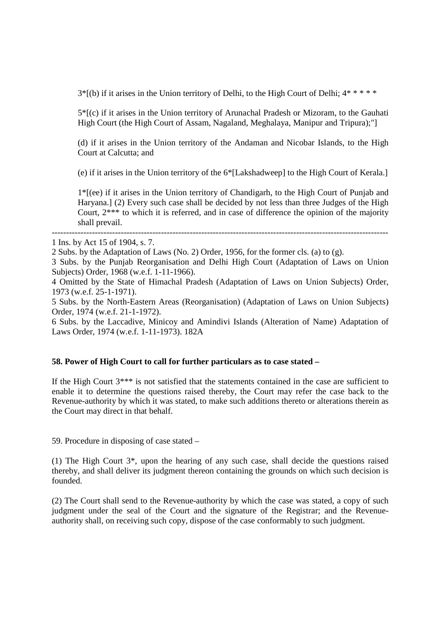$3<sup>*</sup>$ [(b) if it arises in the Union territory of Delhi, to the High Court of Delhi;  $4<sup>*</sup>$  \* \* \*

5\*[(c) if it arises in the Union territory of Arunachal Pradesh or Mizoram, to the Gauhati High Court (the High Court of Assam, Nagaland, Meghalaya, Manipur and Tripura);"]

(d) if it arises in the Union territory of the Andaman and Nicobar Islands, to the High Court at Calcutta; and

(e) if it arises in the Union territory of the 6\*[Lakshadweep] to the High Court of Kerala.]

1\*[(ee) if it arises in the Union territory of Chandigarh, to the High Court of Punjab and Haryana.] (2) Every such case shall be decided by not less than three Judges of the High Court, 2\*\*\* to which it is referred, and in case of difference the opinion of the majority shall prevail.

3 Subs. by the Punjab Reorganisation and Delhi High Court (Adaptation of Laws on Union Subjects) Order, 1968 (w.e.f. 1-11-1966).

---------------------------------------------------------------------------------------------------------------------

4 Omitted by the State of Himachal Pradesh (Adaptation of Laws on Union Subjects) Order, 1973 (w.e.f. 25-1-1971).

5 Subs. by the North-Eastern Areas (Reorganisation) (Adaptation of Laws on Union Subjects) Order, 1974 (w.e.f. 21-1-1972).

6 Subs. by the Laccadive, Minicoy and Amindivi Islands (Alteration of Name) Adaptation of Laws Order, 1974 (w.e.f. 1-11-1973). 182A

### **58. Power of High Court to call for further particulars as to case stated –**

If the High Court 3\*\*\* is not satisfied that the statements contained in the case are sufficient to enable it to determine the questions raised thereby, the Court may refer the case back to the Revenue-authority by which it was stated, to make such additions thereto or alterations therein as the Court may direct in that behalf.

59. Procedure in disposing of case stated –

(1) The High Court 3\*, upon the hearing of any such case, shall decide the questions raised thereby, and shall deliver its judgment thereon containing the grounds on which such decision is founded.

(2) The Court shall send to the Revenue-authority by which the case was stated, a copy of such judgment under the seal of the Court and the signature of the Registrar; and the Revenueauthority shall, on receiving such copy, dispose of the case conformably to such judgment.

<sup>1</sup> Ins. by Act 15 of 1904, s. 7.

<sup>2</sup> Subs. by the Adaptation of Laws (No. 2) Order, 1956, for the former cls. (a) to (g).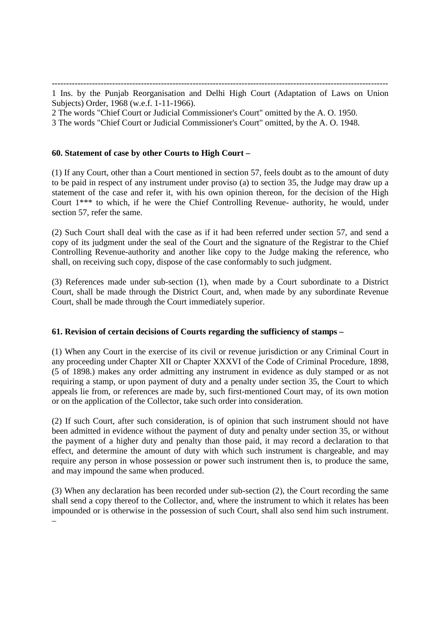--------------------------------------------------------------------------------------------------------------------- 1 Ins. by the Punjab Reorganisation and Delhi High Court (Adaptation of Laws on Union Subjects) Order, 1968 (w.e.f. 1-11-1966).

2 The words "Chief Court or Judicial Commissioner's Court" omitted by the A. O. 1950.

3 The words "Chief Court or Judicial Commissioner's Court" omitted, by the A. O. 1948.

# **60. Statement of case by other Courts to High Court –**

(1) If any Court, other than a Court mentioned in section 57, feels doubt as to the amount of duty to be paid in respect of any instrument under proviso (a) to section 35, the Judge may draw up a statement of the case and refer it, with his own opinion thereon, for the decision of the High Court 1\*\*\* to which, if he were the Chief Controlling Revenue- authority, he would, under section 57, refer the same.

(2) Such Court shall deal with the case as if it had been referred under section 57, and send a copy of its judgment under the seal of the Court and the signature of the Registrar to the Chief Controlling Revenue-authority and another like copy to the Judge making the reference, who shall, on receiving such copy, dispose of the case conformably to such judgment.

(3) References made under sub-section (1), when made by a Court subordinate to a District Court, shall be made through the District Court, and, when made by any subordinate Revenue Court, shall be made through the Court immediately superior.

# **61. Revision of certain decisions of Courts regarding the sufficiency of stamps –**

(1) When any Court in the exercise of its civil or revenue jurisdiction or any Criminal Court in any proceeding under Chapter XII or Chapter XXXVI of the Code of Criminal Procedure, 1898, (5 of 1898.) makes any order admitting any instrument in evidence as duly stamped or as not requiring a stamp, or upon payment of duty and a penalty under section 35, the Court to which appeals lie from, or references are made by, such first-mentioned Court may, of its own motion or on the application of the Collector, take such order into consideration.

(2) If such Court, after such consideration, is of opinion that such instrument should not have been admitted in evidence without the payment of duty and penalty under section 35, or without the payment of a higher duty and penalty than those paid, it may record a declaration to that effect, and determine the amount of duty with which such instrument is chargeable, and may require any person in whose possession or power such instrument then is, to produce the same, and may impound the same when produced.

(3) When any declaration has been recorded under sub-section (2), the Court recording the same shall send a copy thereof to the Collector, and, where the instrument to which it relates has been impounded or is otherwise in the possession of such Court, shall also send him such instrument. –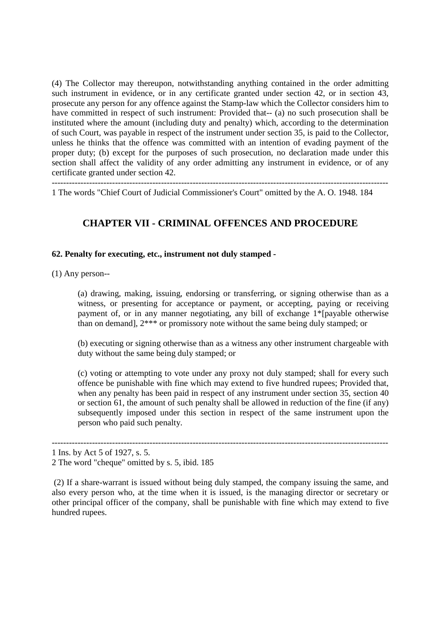(4) The Collector may thereupon, notwithstanding anything contained in the order admitting such instrument in evidence, or in any certificate granted under section 42, or in section 43, prosecute any person for any offence against the Stamp-law which the Collector considers him to have committed in respect of such instrument: Provided that-- (a) no such prosecution shall be instituted where the amount (including duty and penalty) which, according to the determination of such Court, was payable in respect of the instrument under section 35, is paid to the Collector, unless he thinks that the offence was committed with an intention of evading payment of the proper duty; (b) except for the purposes of such prosecution, no declaration made under this section shall affect the validity of any order admitting any instrument in evidence, or of any certificate granted under section 42.

1 The words "Chief Court of Judicial Commissioner's Court" omitted by the A. O. 1948. 184

# **CHAPTER VII - CRIMINAL OFFENCES AND PROCEDURE**

# **62. Penalty for executing, etc., instrument not duly stamped -**

(1) Any person--

(a) drawing, making, issuing, endorsing or transferring, or signing otherwise than as a witness, or presenting for acceptance or payment, or accepting, paying or receiving payment of, or in any manner negotiating, any bill of exchange 1\*[payable otherwise than on demand], 2\*\*\* or promissory note without the same being duly stamped; or

(b) executing or signing otherwise than as a witness any other instrument chargeable with duty without the same being duly stamped; or

(c) voting or attempting to vote under any proxy not duly stamped; shall for every such offence be punishable with fine which may extend to five hundred rupees; Provided that, when any penalty has been paid in respect of any instrument under section 35, section 40 or section 61, the amount of such penalty shall be allowed in reduction of the fine (if any) subsequently imposed under this section in respect of the same instrument upon the person who paid such penalty.

 (2) If a share-warrant is issued without being duly stamped, the company issuing the same, and also every person who, at the time when it is issued, is the managing director or secretary or other principal officer of the company, shall be punishable with fine which may extend to five hundred rupees.

---------------------------------------------------------------------------------------------------------------------

<sup>1</sup> Ins. by Act 5 of 1927, s. 5.

<sup>2</sup> The word "cheque" omitted by s. 5, ibid. 185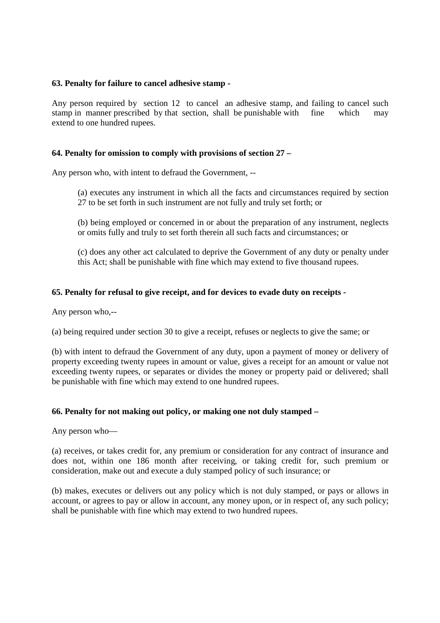### **63. Penalty for failure to cancel adhesive stamp -**

Any person required by section 12 to cancel an adhesive stamp, and failing to cancel such stamp in manner prescribed by that section, shall be punishable with fine which may extend to one hundred rupees.

### **64. Penalty for omission to comply with provisions of section 27 –**

Any person who, with intent to defraud the Government, --

(a) executes any instrument in which all the facts and circumstances required by section 27 to be set forth in such instrument are not fully and truly set forth; or

(b) being employed or concerned in or about the preparation of any instrument, neglects or omits fully and truly to set forth therein all such facts and circumstances; or

(c) does any other act calculated to deprive the Government of any duty or penalty under this Act; shall be punishable with fine which may extend to five thousand rupees.

### **65. Penalty for refusal to give receipt, and for devices to evade duty on receipts -**

Any person who,--

(a) being required under section 30 to give a receipt, refuses or neglects to give the same; or

(b) with intent to defraud the Government of any duty, upon a payment of money or delivery of property exceeding twenty rupees in amount or value, gives a receipt for an amount or value not exceeding twenty rupees, or separates or divides the money or property paid or delivered; shall be punishable with fine which may extend to one hundred rupees.

### **66. Penalty for not making out policy, or making one not duly stamped –**

Any person who—

(a) receives, or takes credit for, any premium or consideration for any contract of insurance and does not, within one 186 month after receiving, or taking credit for, such premium or consideration, make out and execute a duly stamped policy of such insurance; or

(b) makes, executes or delivers out any policy which is not duly stamped, or pays or allows in account, or agrees to pay or allow in account, any money upon, or in respect of, any such policy; shall be punishable with fine which may extend to two hundred rupees.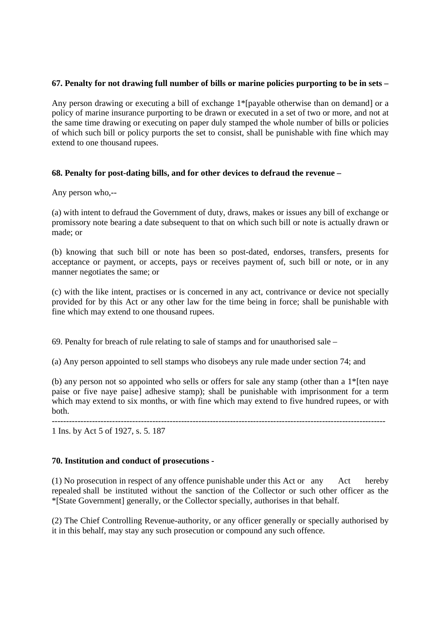# **67. Penalty for not drawing full number of bills or marine policies purporting to be in sets –**

Any person drawing or executing a bill of exchange 1\*[payable otherwise than on demand] or a policy of marine insurance purporting to be drawn or executed in a set of two or more, and not at the same time drawing or executing on paper duly stamped the whole number of bills or policies of which such bill or policy purports the set to consist, shall be punishable with fine which may extend to one thousand rupees.

# **68. Penalty for post-dating bills, and for other devices to defraud the revenue –**

Any person who,--

(a) with intent to defraud the Government of duty, draws, makes or issues any bill of exchange or promissory note bearing a date subsequent to that on which such bill or note is actually drawn or made; or

(b) knowing that such bill or note has been so post-dated, endorses, transfers, presents for acceptance or payment, or accepts, pays or receives payment of, such bill or note, or in any manner negotiates the same; or

(c) with the like intent, practises or is concerned in any act, contrivance or device not specially provided for by this Act or any other law for the time being in force; shall be punishable with fine which may extend to one thousand rupees.

69. Penalty for breach of rule relating to sale of stamps and for unauthorised sale –

(a) Any person appointed to sell stamps who disobeys any rule made under section 74; and

(b) any person not so appointed who sells or offers for sale any stamp (other than a 1\*[ten naye paise or five naye paise] adhesive stamp); shall be punishable with imprisonment for a term which may extend to six months, or with fine which may extend to five hundred rupees, or with both.

-------------------------------------------------------------------------------------------------------------------- 1 Ins. by Act 5 of 1927, s. 5. 187

# **70. Institution and conduct of prosecutions -**

(1) No prosecution in respect of any offence punishable under this Act or any Act hereby repealed shall be instituted without the sanction of the Collector or such other officer as the \*[State Government] generally, or the Collector specially, authorises in that behalf.

(2) The Chief Controlling Revenue-authority, or any officer generally or specially authorised by it in this behalf, may stay any such prosecution or compound any such offence.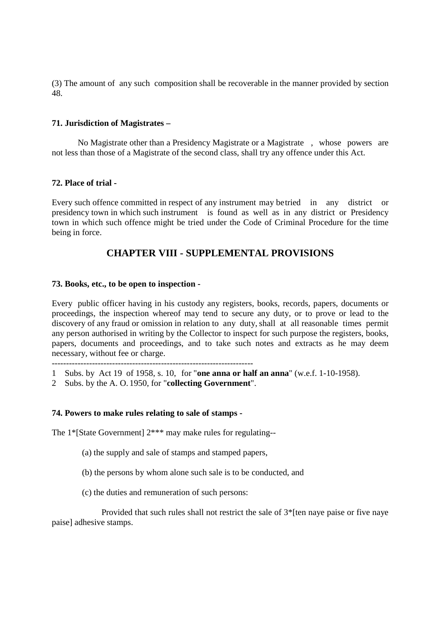(3) The amount of any such composition shall be recoverable in the manner provided by section 48.

### **71. Jurisdiction of Magistrates –**

 No Magistrate other than a Presidency Magistrate or a Magistrate , whose powers are not less than those of a Magistrate of the second class, shall try any offence under this Act.

### **72. Place of trial -**

Every such offence committed in respect of any instrument may be tried in any district or presidency town in which such instrument is found as well as in any district or Presidency town in which such offence might be tried under the Code of Criminal Procedure for the time being in force.

# **CHAPTER VIII - SUPPLEMENTAL PROVISIONS**

### **73. Books, etc., to be open to inspection -**

Every public officer having in his custody any registers, books, records, papers, documents or proceedings, the inspection whereof may tend to secure any duty, or to prove or lead to the discovery of any fraud or omission in relation to any duty, shall at all reasonable times permit any person authorised in writing by the Collector to inspect for such purpose the registers, books, papers, documents and proceedings, and to take such notes and extracts as he may deem necessary, without fee or charge.

----------------------------------------------------------------------

- 1 Subs. by Act 19 of 1958, s. 10, for "**one anna or half an anna**" (w.e.f. 1-10-1958).
- 2 Subs. by the A. O. 1950, for "**collecting Government**".

### **74. Powers to make rules relating to sale of stamps -**

The 1\*[State Government]  $2***$  may make rules for regulating--

- (a) the supply and sale of stamps and stamped papers,
- (b) the persons by whom alone such sale is to be conducted, and
- (c) the duties and remuneration of such persons:

Provided that such rules shall not restrict the sale of  $3*$ [ten naye paise or five naye paise] adhesive stamps.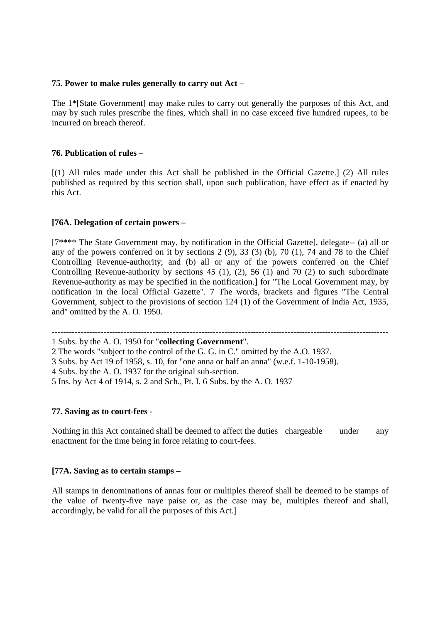### **75. Power to make rules generally to carry out Act –**

The 1\*[State Government] may make rules to carry out generally the purposes of this Act, and may by such rules prescribe the fines, which shall in no case exceed five hundred rupees, to be incurred on breach thereof.

### **76. Publication of rules –**

[(1) All rules made under this Act shall be published in the Official Gazette.] (2) All rules published as required by this section shall, upon such publication, have effect as if enacted by this Act.

### **[76A. Delegation of certain powers –**

[7\*\*\*\* The State Government may, by notification in the Official Gazette], delegate-- (a) all or any of the powers conferred on it by sections 2 (9), 33 (3) (b), 70 (1), 74 and 78 to the Chief Controlling Revenue-authority; and (b) all or any of the powers conferred on the Chief Controlling Revenue-authority by sections 45 (1), (2), 56 (1) and 70 (2) to such subordinate Revenue-authority as may be specified in the notification.] for "The Local Government may, by notification in the local Official Gazette". 7 The words, brackets and figures "The Central Government, subject to the provisions of section 124 (1) of the Government of India Act, 1935, and" omitted by the A. O. 1950.

---------------------------------------------------------------------------------------------------------------------

### **77. Saving as to court-fees -**

Nothing in this Act contained shall be deemed to affect the duties chargeable under any enactment for the time being in force relating to court-fees.

### **[77A. Saving as to certain stamps –**

All stamps in denominations of annas four or multiples thereof shall be deemed to be stamps of the value of twenty-five naye paise or, as the case may be, multiples thereof and shall, accordingly, be valid for all the purposes of this Act.]

<sup>1</sup> Subs. by the A. O. 1950 for "**collecting Government**".

<sup>2</sup> The words "subject to the control of the G. G. in C." omitted by the A.O. 1937.

<sup>3</sup> Subs. by Act 19 of 1958, s. 10, for "one anna or half an anna" (w.e.f. 1-10-1958).

<sup>4</sup> Subs. by the A. O. 1937 for the original sub-section.

<sup>5</sup> Ins. by Act 4 of 1914, s. 2 and Sch., Pt. I. 6 Subs. by the A. O. 1937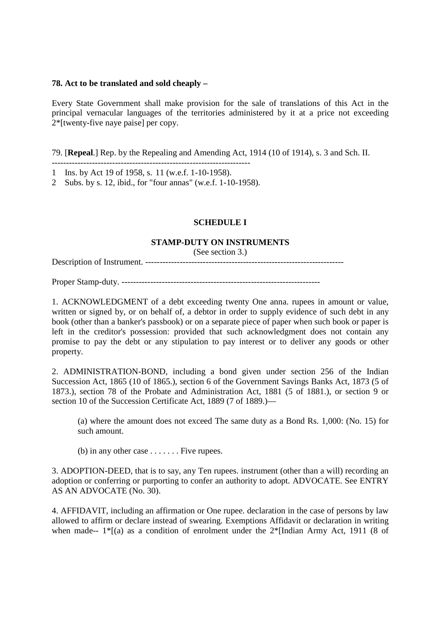### **78. Act to be translated and sold cheaply –**

Every State Government shall make provision for the sale of translations of this Act in the principal vernacular languages of the territories administered by it at a price not exceeding 2\*[twenty-five naye paise] per copy.

79. [**Repeal**.] Rep. by the Repealing and Amending Act, 1914 (10 of 1914), s. 3 and Sch. II.

- --------------------------------------------------------------------- 1 Ins. by Act 19 of 1958, s. 11 (w.e.f. 1-10-1958).
- 2 Subs. by s. 12, ibid., for "four annas" (w.e.f. 1-10-1958).

# **SCHEDULE I**

### **STAMP-DUTY ON INSTRUMENTS**

(See section 3.)

Description of Instrument. ---------------------------------------------------------------------

Proper Stamp-duty. ---------------------------------------------------------------------

1. ACKNOWLEDGMENT of a debt exceeding twenty One anna. rupees in amount or value, written or signed by, or on behalf of, a debtor in order to supply evidence of such debt in any book (other than a banker's passbook) or on a separate piece of paper when such book or paper is left in the creditor's possession: provided that such acknowledgment does not contain any promise to pay the debt or any stipulation to pay interest or to deliver any goods or other property.

2. ADMINISTRATION-BOND, including a bond given under section 256 of the Indian Succession Act, 1865 (10 of 1865.), section 6 of the Government Savings Banks Act, 1873 (5 of 1873.), section 78 of the Probate and Administration Act, 1881 (5 of 1881.), or section 9 or section 10 of the Succession Certificate Act, 1889 (7 of 1889.)—

(a) where the amount does not exceed The same duty as a Bond Rs. 1,000: (No. 15) for such amount.

(b) in any other case  $\dots \dots$ . Five rupees.

3. ADOPTION-DEED, that is to say, any Ten rupees. instrument (other than a will) recording an adoption or conferring or purporting to confer an authority to adopt. ADVOCATE. See ENTRY AS AN ADVOCATE (No. 30).

4. AFFIDAVIT, including an affirmation or One rupee. declaration in the case of persons by law allowed to affirm or declare instead of swearing. Exemptions Affidavit or declaration in writing when made--  $1^*$ [(a) as a condition of enrolment under the  $2^*$ [Indian Army Act, 1911 (8 of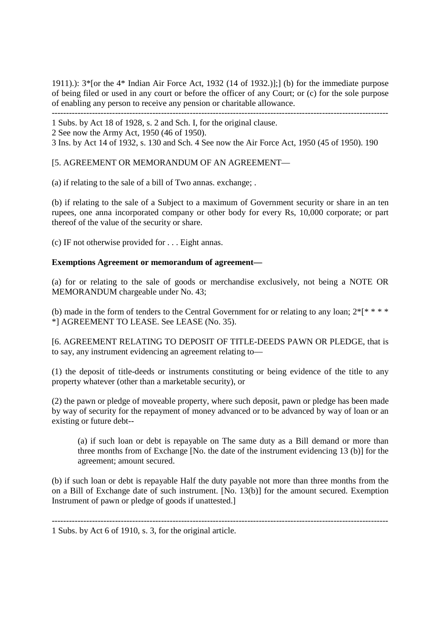1911).): 3\*[or the 4\* Indian Air Force Act, 1932 (14 of 1932.)];] (b) for the immediate purpose of being filed or used in any court or before the officer of any Court; or (c) for the sole purpose of enabling any person to receive any pension or charitable allowance.

---------------------------------------------------------------------------------------------------------------------

1 Subs. by Act 18 of 1928, s. 2 and Sch. I, for the original clause.

2 See now the Army Act, 1950 (46 of 1950).

3 Ins. by Act 14 of 1932, s. 130 and Sch. 4 See now the Air Force Act, 1950 (45 of 1950). 190

[5. AGREEMENT OR MEMORANDUM OF AN AGREEMENT—

(a) if relating to the sale of a bill of Two annas. exchange; .

(b) if relating to the sale of a Subject to a maximum of Government security or share in an ten rupees, one anna incorporated company or other body for every Rs, 10,000 corporate; or part thereof of the value of the security or share.

(c) IF not otherwise provided for . . . Eight annas.

### **Exemptions Agreement or memorandum of agreement—**

(a) for or relating to the sale of goods or merchandise exclusively, not being a NOTE OR MEMORANDUM chargeable under No. 43;

(b) made in the form of tenders to the Central Government for or relating to any loan;  $2^*$ [\* \* \* \* \*] AGREEMENT TO LEASE. See LEASE (No. 35).

[6. AGREEMENT RELATING TO DEPOSIT OF TITLE-DEEDS PAWN OR PLEDGE, that is to say, any instrument evidencing an agreement relating to—

(1) the deposit of title-deeds or instruments constituting or being evidence of the title to any property whatever (other than a marketable security), or

(2) the pawn or pledge of moveable property, where such deposit, pawn or pledge has been made by way of security for the repayment of money advanced or to be advanced by way of loan or an existing or future debt--

(a) if such loan or debt is repayable on The same duty as a Bill demand or more than three months from of Exchange [No. the date of the instrument evidencing 13 (b)] for the agreement; amount secured.

(b) if such loan or debt is repayable Half the duty payable not more than three months from the on a Bill of Exchange date of such instrument. [No. 13(b)] for the amount secured. Exemption Instrument of pawn or pledge of goods if unattested.]

---------------------------------------------------------------------------------------------------------------------

<sup>1</sup> Subs. by Act 6 of 1910, s. 3, for the original article.